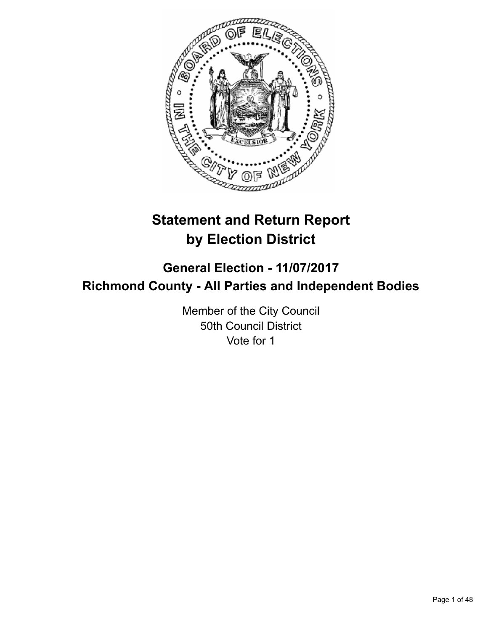

# **Statement and Return Report by Election District**

## **General Election - 11/07/2017 Richmond County - All Parties and Independent Bodies**

Member of the City Council 50th Council District Vote for 1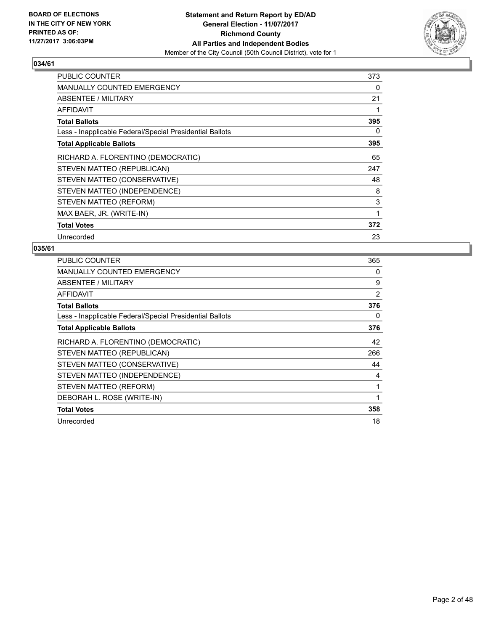

| <b>PUBLIC COUNTER</b>                                    | 373 |
|----------------------------------------------------------|-----|
| <b>MANUALLY COUNTED EMERGENCY</b>                        | 0   |
| ABSENTEE / MILITARY                                      | 21  |
| AFFIDAVIT                                                |     |
| <b>Total Ballots</b>                                     | 395 |
| Less - Inapplicable Federal/Special Presidential Ballots | 0   |
| <b>Total Applicable Ballots</b>                          | 395 |
| RICHARD A. FLORENTINO (DEMOCRATIC)                       | 65  |
| STEVEN MATTEO (REPUBLICAN)                               | 247 |
| STEVEN MATTEO (CONSERVATIVE)                             | 48  |
| STEVEN MATTEO (INDEPENDENCE)                             | 8   |
| STEVEN MATTEO (REFORM)                                   | 3   |
| MAX BAER, JR. (WRITE-IN)                                 | 1   |
| <b>Total Votes</b>                                       | 372 |
| Unrecorded                                               | 23  |

| <b>PUBLIC COUNTER</b>                                    | 365 |
|----------------------------------------------------------|-----|
| <b>MANUALLY COUNTED EMERGENCY</b>                        | 0   |
| <b>ABSENTEE / MILITARY</b>                               | 9   |
| AFFIDAVIT                                                | 2   |
| <b>Total Ballots</b>                                     | 376 |
| Less - Inapplicable Federal/Special Presidential Ballots | 0   |
| <b>Total Applicable Ballots</b>                          | 376 |
| RICHARD A. FLORENTINO (DEMOCRATIC)                       | 42  |
| STEVEN MATTEO (REPUBLICAN)                               | 266 |
| STEVEN MATTEO (CONSERVATIVE)                             | 44  |
| STEVEN MATTEO (INDEPENDENCE)                             | 4   |
| STEVEN MATTEO (REFORM)                                   |     |
| DEBORAH L. ROSE (WRITE-IN)                               | 1   |
| <b>Total Votes</b>                                       | 358 |
| Unrecorded                                               | 18  |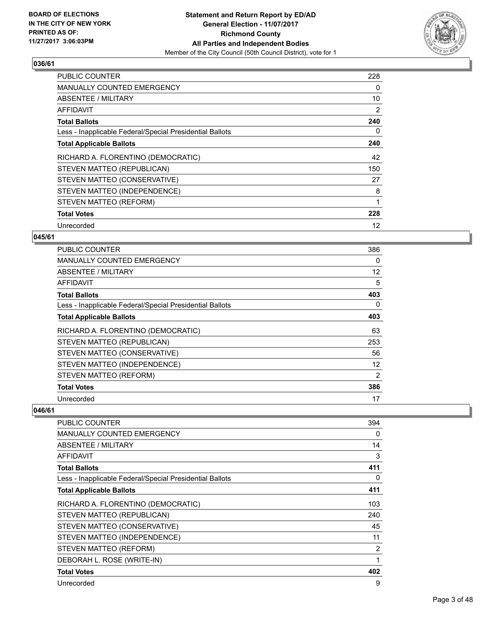

| <b>PUBLIC COUNTER</b>                                    | 228 |
|----------------------------------------------------------|-----|
| MANUALLY COUNTED EMERGENCY                               | 0   |
| ABSENTEE / MILITARY                                      | 10  |
| AFFIDAVIT                                                | 2   |
| <b>Total Ballots</b>                                     | 240 |
| Less - Inapplicable Federal/Special Presidential Ballots | 0   |
| <b>Total Applicable Ballots</b>                          | 240 |
| RICHARD A. FLORENTINO (DEMOCRATIC)                       | 42  |
| STEVEN MATTEO (REPUBLICAN)                               | 150 |
| STEVEN MATTEO (CONSERVATIVE)                             | 27  |
| STEVEN MATTEO (INDEPENDENCE)                             | 8   |
| STEVEN MATTEO (REFORM)                                   | 1   |
| <b>Total Votes</b>                                       | 228 |
| Unrecorded                                               | 12  |

#### **045/61**

| PUBLIC COUNTER                                           | 386 |
|----------------------------------------------------------|-----|
| <b>MANUALLY COUNTED EMERGENCY</b>                        | 0   |
| ABSENTEE / MILITARY                                      | 12  |
| AFFIDAVIT                                                | 5   |
| <b>Total Ballots</b>                                     | 403 |
| Less - Inapplicable Federal/Special Presidential Ballots | 0   |
| <b>Total Applicable Ballots</b>                          | 403 |
| RICHARD A. FLORENTINO (DEMOCRATIC)                       | 63  |
| STEVEN MATTEO (REPUBLICAN)                               | 253 |
| STEVEN MATTEO (CONSERVATIVE)                             | 56  |
| STEVEN MATTEO (INDEPENDENCE)                             | 12  |
| STEVEN MATTEO (REFORM)                                   | 2   |
| <b>Total Votes</b>                                       | 386 |
| Unrecorded                                               | 17  |

| PUBLIC COUNTER                                           | 394 |
|----------------------------------------------------------|-----|
| <b>MANUALLY COUNTED EMERGENCY</b>                        | 0   |
| ABSENTEE / MILITARY                                      | 14  |
| AFFIDAVIT                                                | 3   |
| <b>Total Ballots</b>                                     | 411 |
| Less - Inapplicable Federal/Special Presidential Ballots | 0   |
| <b>Total Applicable Ballots</b>                          | 411 |
| RICHARD A. FLORENTINO (DEMOCRATIC)                       | 103 |
| STEVEN MATTEO (REPUBLICAN)                               | 240 |
| STEVEN MATTEO (CONSERVATIVE)                             | 45  |
| STEVEN MATTEO (INDEPENDENCE)                             | 11  |
| STEVEN MATTEO (REFORM)                                   | 2   |
| DEBORAH L. ROSE (WRITE-IN)                               | 1   |
| <b>Total Votes</b>                                       | 402 |
| Unrecorded                                               | 9   |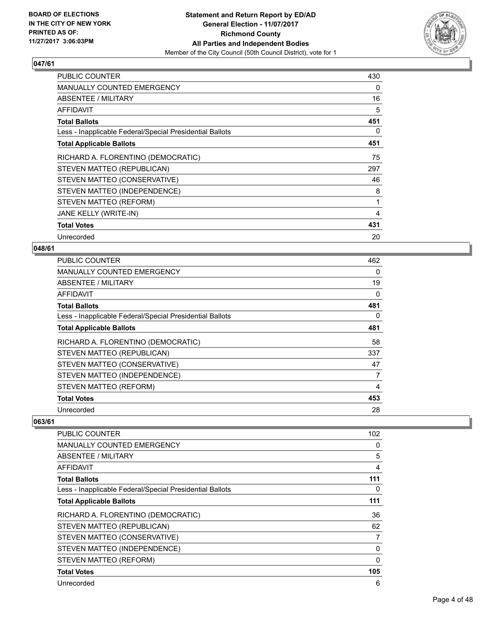

| <b>PUBLIC COUNTER</b>                                    | 430 |
|----------------------------------------------------------|-----|
| MANUALLY COUNTED EMERGENCY                               | 0   |
| ABSENTEE / MILITARY                                      | 16  |
| AFFIDAVIT                                                | 5   |
| <b>Total Ballots</b>                                     | 451 |
| Less - Inapplicable Federal/Special Presidential Ballots | 0   |
| <b>Total Applicable Ballots</b>                          | 451 |
| RICHARD A. FLORENTINO (DEMOCRATIC)                       | 75  |
| STEVEN MATTEO (REPUBLICAN)                               | 297 |
| STEVEN MATTEO (CONSERVATIVE)                             | 46  |
| STEVEN MATTEO (INDEPENDENCE)                             | 8   |
| STEVEN MATTEO (REFORM)                                   | 1   |
| JANE KELLY (WRITE-IN)                                    | 4   |
| <b>Total Votes</b>                                       | 431 |
| Unrecorded                                               | 20  |

#### **048/61**

| <b>PUBLIC COUNTER</b>                                    | 462 |
|----------------------------------------------------------|-----|
| <b>MANUALLY COUNTED EMERGENCY</b>                        | 0   |
| ABSENTEE / MILITARY                                      | 19  |
| AFFIDAVIT                                                | 0   |
| <b>Total Ballots</b>                                     | 481 |
| Less - Inapplicable Federal/Special Presidential Ballots | 0   |
| <b>Total Applicable Ballots</b>                          | 481 |
| RICHARD A. FLORENTINO (DEMOCRATIC)                       | 58  |
| STEVEN MATTEO (REPUBLICAN)                               | 337 |
| STEVEN MATTEO (CONSERVATIVE)                             | 47  |
| STEVEN MATTEO (INDEPENDENCE)                             | 7   |
| STEVEN MATTEO (REFORM)                                   | 4   |
| <b>Total Votes</b>                                       | 453 |
| Unrecorded                                               | 28  |

| PUBLIC COUNTER                                           | 102      |
|----------------------------------------------------------|----------|
| <b>MANUALLY COUNTED EMERGENCY</b>                        | 0        |
| ABSENTEE / MILITARY                                      | 5        |
| AFFIDAVIT                                                | 4        |
| <b>Total Ballots</b>                                     | 111      |
| Less - Inapplicable Federal/Special Presidential Ballots | 0        |
| <b>Total Applicable Ballots</b>                          | 111      |
| RICHARD A. FLORENTINO (DEMOCRATIC)                       | 36       |
| STEVEN MATTEO (REPUBLICAN)                               | 62       |
| STEVEN MATTEO (CONSERVATIVE)                             | 7        |
| STEVEN MATTEO (INDEPENDENCE)                             | 0        |
| STEVEN MATTEO (REFORM)                                   | $\Omega$ |
| <b>Total Votes</b>                                       | 105      |
| Unrecorded                                               | 6        |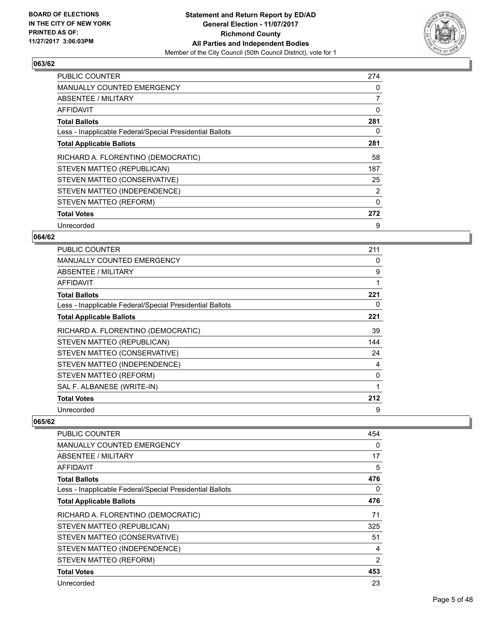

| <b>PUBLIC COUNTER</b>                                    | 274 |
|----------------------------------------------------------|-----|
| <b>MANUALLY COUNTED EMERGENCY</b>                        | 0   |
| ABSENTEE / MILITARY                                      | 7   |
| AFFIDAVIT                                                | 0   |
| <b>Total Ballots</b>                                     | 281 |
| Less - Inapplicable Federal/Special Presidential Ballots | 0   |
| <b>Total Applicable Ballots</b>                          | 281 |
| RICHARD A. FLORENTINO (DEMOCRATIC)                       | 58  |
| STEVEN MATTEO (REPUBLICAN)                               | 187 |
| STEVEN MATTEO (CONSERVATIVE)                             | 25  |
| STEVEN MATTEO (INDEPENDENCE)                             | 2   |
| STEVEN MATTEO (REFORM)                                   | 0   |
| <b>Total Votes</b>                                       | 272 |
| Unrecorded                                               | 9   |

#### **064/62**

| <b>PUBLIC COUNTER</b>                                    | 211 |
|----------------------------------------------------------|-----|
| <b>MANUALLY COUNTED EMERGENCY</b>                        | 0   |
| ABSENTEE / MILITARY                                      | 9   |
| AFFIDAVIT                                                |     |
| <b>Total Ballots</b>                                     | 221 |
| Less - Inapplicable Federal/Special Presidential Ballots | 0   |
| <b>Total Applicable Ballots</b>                          | 221 |
| RICHARD A. FLORENTINO (DEMOCRATIC)                       | 39  |
| STEVEN MATTEO (REPUBLICAN)                               | 144 |
| STEVEN MATTEO (CONSERVATIVE)                             | 24  |
| STEVEN MATTEO (INDEPENDENCE)                             | 4   |
| STEVEN MATTEO (REFORM)                                   | 0   |
| SAL F. ALBANESE (WRITE-IN)                               | 1   |
| <b>Total Votes</b>                                       | 212 |
| Unrecorded                                               | 9   |

| <b>PUBLIC COUNTER</b>                                    | 454            |
|----------------------------------------------------------|----------------|
| <b>MANUALLY COUNTED EMERGENCY</b>                        | 0              |
| ABSENTEE / MILITARY                                      | 17             |
| <b>AFFIDAVIT</b>                                         | 5              |
| <b>Total Ballots</b>                                     | 476            |
| Less - Inapplicable Federal/Special Presidential Ballots | 0              |
| <b>Total Applicable Ballots</b>                          | 476            |
| RICHARD A. FLORENTINO (DEMOCRATIC)                       | 71             |
| STEVEN MATTEO (REPUBLICAN)                               | 325            |
| STEVEN MATTEO (CONSERVATIVE)                             | 51             |
| STEVEN MATTEO (INDEPENDENCE)                             | 4              |
| STEVEN MATTEO (REFORM)                                   | $\overline{2}$ |
| <b>Total Votes</b>                                       | 453            |
| Unrecorded                                               | 23             |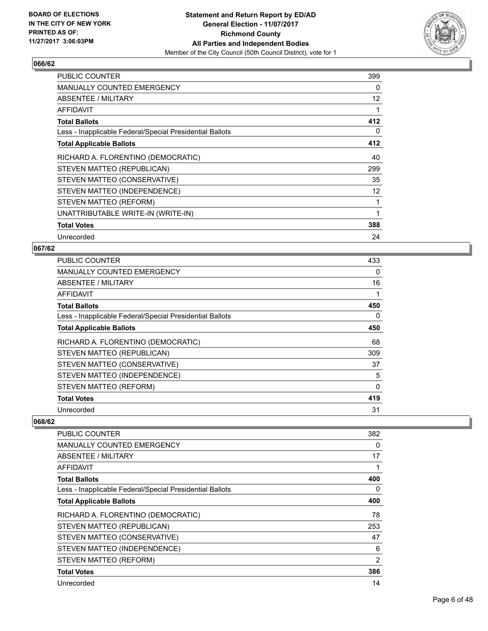

| <b>PUBLIC COUNTER</b>                                    | 399 |
|----------------------------------------------------------|-----|
| <b>MANUALLY COUNTED EMERGENCY</b>                        | 0   |
| ABSENTEE / MILITARY                                      | 12  |
| AFFIDAVIT                                                |     |
| <b>Total Ballots</b>                                     | 412 |
| Less - Inapplicable Federal/Special Presidential Ballots | 0   |
| <b>Total Applicable Ballots</b>                          | 412 |
| RICHARD A. FLORENTINO (DEMOCRATIC)                       | 40  |
| STEVEN MATTEO (REPUBLICAN)                               | 299 |
| STEVEN MATTEO (CONSERVATIVE)                             | 35  |
| STEVEN MATTEO (INDEPENDENCE)                             | 12  |
| STEVEN MATTEO (REFORM)                                   |     |
| UNATTRIBUTABLE WRITE-IN (WRITE-IN)                       | 1   |
| <b>Total Votes</b>                                       | 388 |
| Unrecorded                                               | 24  |

#### **067/62**

| PUBLIC COUNTER                                           | 433 |
|----------------------------------------------------------|-----|
| <b>MANUALLY COUNTED EMERGENCY</b>                        | 0   |
| ABSENTEE / MILITARY                                      | 16  |
| AFFIDAVIT                                                |     |
| <b>Total Ballots</b>                                     | 450 |
| Less - Inapplicable Federal/Special Presidential Ballots | 0   |
| <b>Total Applicable Ballots</b>                          | 450 |
| RICHARD A. FLORENTINO (DEMOCRATIC)                       | 68  |
| STEVEN MATTEO (REPUBLICAN)                               | 309 |
| STEVEN MATTEO (CONSERVATIVE)                             | 37  |
| STEVEN MATTEO (INDEPENDENCE)                             | 5   |
| STEVEN MATTEO (REFORM)                                   | 0   |
| <b>Total Votes</b>                                       | 419 |
| Unrecorded                                               | 31  |

| PUBLIC COUNTER                                           | 382 |
|----------------------------------------------------------|-----|
| <b>MANUALLY COUNTED EMERGENCY</b>                        | 0   |
| ABSENTEE / MILITARY                                      | 17  |
| AFFIDAVIT                                                | 1   |
| <b>Total Ballots</b>                                     | 400 |
| Less - Inapplicable Federal/Special Presidential Ballots | 0   |
| <b>Total Applicable Ballots</b>                          | 400 |
| RICHARD A. FLORENTINO (DEMOCRATIC)                       | 78  |
| STEVEN MATTEO (REPUBLICAN)                               | 253 |
| STEVEN MATTEO (CONSERVATIVE)                             | 47  |
| STEVEN MATTEO (INDEPENDENCE)                             | 6   |
| STEVEN MATTEO (REFORM)                                   | 2   |
| <b>Total Votes</b>                                       | 386 |
| Unrecorded                                               | 14  |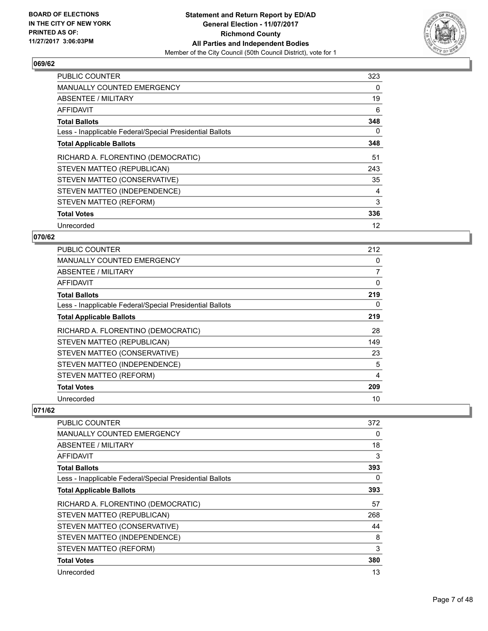

| <b>PUBLIC COUNTER</b>                                    | 323 |
|----------------------------------------------------------|-----|
| <b>MANUALLY COUNTED EMERGENCY</b>                        | 0   |
| ABSENTEE / MILITARY                                      | 19  |
| AFFIDAVIT                                                | 6   |
| <b>Total Ballots</b>                                     | 348 |
| Less - Inapplicable Federal/Special Presidential Ballots | 0   |
| <b>Total Applicable Ballots</b>                          | 348 |
| RICHARD A. FLORENTINO (DEMOCRATIC)                       | 51  |
| STEVEN MATTEO (REPUBLICAN)                               | 243 |
| STEVEN MATTEO (CONSERVATIVE)                             | 35  |
| STEVEN MATTEO (INDEPENDENCE)                             | 4   |
| STEVEN MATTEO (REFORM)                                   | 3   |
| <b>Total Votes</b>                                       | 336 |
|                                                          |     |

#### **070/62**

| <b>PUBLIC COUNTER</b>                                    | 212 |
|----------------------------------------------------------|-----|
| <b>MANUALLY COUNTED EMERGENCY</b>                        | 0   |
| ABSENTEE / MILITARY                                      | 7   |
| AFFIDAVIT                                                | 0   |
| <b>Total Ballots</b>                                     | 219 |
| Less - Inapplicable Federal/Special Presidential Ballots | 0   |
| <b>Total Applicable Ballots</b>                          | 219 |
| RICHARD A. FLORENTINO (DEMOCRATIC)                       | 28  |
| STEVEN MATTEO (REPUBLICAN)                               | 149 |
| STEVEN MATTEO (CONSERVATIVE)                             | 23  |
| STEVEN MATTEO (INDEPENDENCE)                             | 5   |
| STEVEN MATTEO (REFORM)                                   | 4   |
| <b>Total Votes</b>                                       | 209 |
| Unrecorded                                               | 10  |

| <b>PUBLIC COUNTER</b>                                    | 372 |
|----------------------------------------------------------|-----|
| <b>MANUALLY COUNTED EMERGENCY</b>                        | 0   |
| <b>ABSENTEE / MILITARY</b>                               | 18  |
| <b>AFFIDAVIT</b>                                         | 3   |
| <b>Total Ballots</b>                                     | 393 |
| Less - Inapplicable Federal/Special Presidential Ballots | 0   |
| <b>Total Applicable Ballots</b>                          | 393 |
| RICHARD A. FLORENTINO (DEMOCRATIC)                       | 57  |
| STEVEN MATTEO (REPUBLICAN)                               | 268 |
| STEVEN MATTEO (CONSERVATIVE)                             | 44  |
| STEVEN MATTEO (INDEPENDENCE)                             | 8   |
| STEVEN MATTEO (REFORM)                                   | 3   |
| <b>Total Votes</b>                                       | 380 |
| Unrecorded                                               | 13  |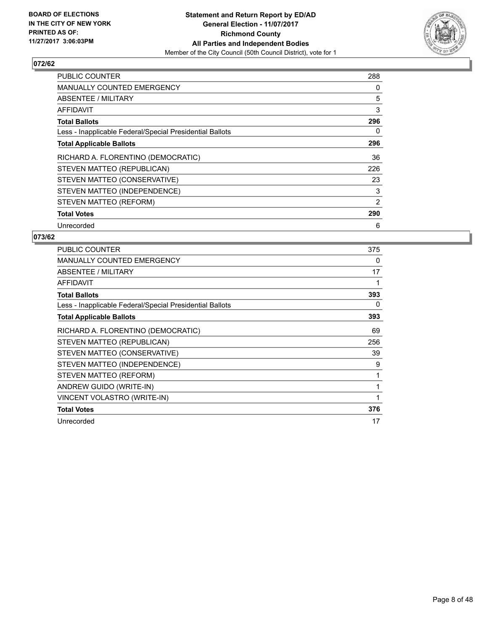

| <b>PUBLIC COUNTER</b>                                    | 288 |
|----------------------------------------------------------|-----|
| <b>MANUALLY COUNTED EMERGENCY</b>                        | 0   |
| ABSENTEE / MILITARY                                      | 5   |
| AFFIDAVIT                                                | 3   |
| <b>Total Ballots</b>                                     | 296 |
| Less - Inapplicable Federal/Special Presidential Ballots | 0   |
| <b>Total Applicable Ballots</b>                          | 296 |
| RICHARD A. FLORENTINO (DEMOCRATIC)                       | 36  |
| STEVEN MATTEO (REPUBLICAN)                               | 226 |
| STEVEN MATTEO (CONSERVATIVE)                             | 23  |
| STEVEN MATTEO (INDEPENDENCE)                             | 3   |
| STEVEN MATTEO (REFORM)                                   | 2   |
| <b>Total Votes</b>                                       | 290 |
| Unrecorded                                               | 6   |

| <b>PUBLIC COUNTER</b>                                    | 375 |
|----------------------------------------------------------|-----|
| <b>MANUALLY COUNTED EMERGENCY</b>                        | 0   |
| ABSENTEE / MILITARY                                      | 17  |
| <b>AFFIDAVIT</b>                                         |     |
| <b>Total Ballots</b>                                     | 393 |
| Less - Inapplicable Federal/Special Presidential Ballots | 0   |
| <b>Total Applicable Ballots</b>                          | 393 |
| RICHARD A. FLORENTINO (DEMOCRATIC)                       | 69  |
| STEVEN MATTEO (REPUBLICAN)                               | 256 |
| STEVEN MATTEO (CONSERVATIVE)                             | 39  |
| STEVEN MATTEO (INDEPENDENCE)                             | 9   |
| STEVEN MATTEO (REFORM)                                   | 1   |
| ANDREW GUIDO (WRITE-IN)                                  | 1   |
| VINCENT VOLASTRO (WRITE-IN)                              | 1   |
| <b>Total Votes</b>                                       | 376 |
| Unrecorded                                               | 17  |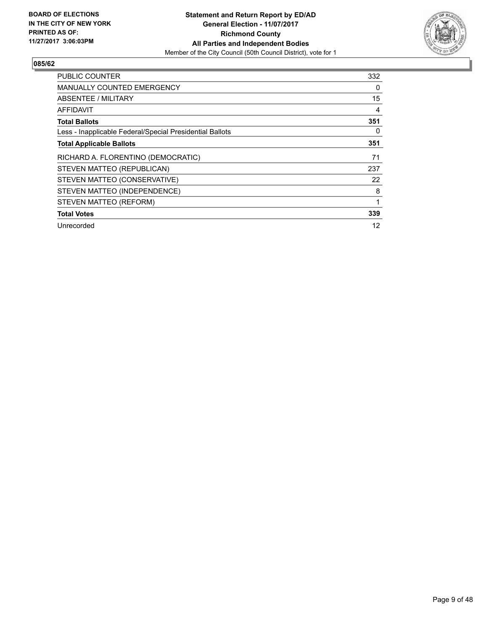

| <b>PUBLIC COUNTER</b>                                    | 332 |
|----------------------------------------------------------|-----|
| <b>MANUALLY COUNTED EMERGENCY</b>                        | 0   |
| ABSENTEE / MILITARY                                      | 15  |
| AFFIDAVIT                                                | 4   |
| <b>Total Ballots</b>                                     | 351 |
| Less - Inapplicable Federal/Special Presidential Ballots | 0   |
| <b>Total Applicable Ballots</b>                          | 351 |
| RICHARD A. FLORENTINO (DEMOCRATIC)                       | 71  |
| STEVEN MATTEO (REPUBLICAN)                               | 237 |
| STEVEN MATTEO (CONSERVATIVE)                             | 22  |
| STEVEN MATTEO (INDEPENDENCE)                             | 8   |
| STEVEN MATTEO (REFORM)                                   | 1   |
| <b>Total Votes</b>                                       | 339 |
| Unrecorded                                               | 12  |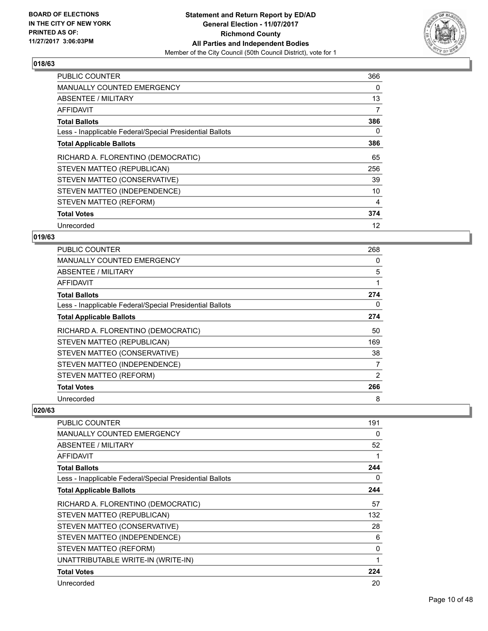

| <b>PUBLIC COUNTER</b>                                    | 366 |
|----------------------------------------------------------|-----|
| <b>MANUALLY COUNTED EMERGENCY</b>                        | 0   |
| ABSENTEE / MILITARY                                      | 13  |
| AFFIDAVIT                                                | 7   |
| <b>Total Ballots</b>                                     | 386 |
| Less - Inapplicable Federal/Special Presidential Ballots | 0   |
| <b>Total Applicable Ballots</b>                          | 386 |
| RICHARD A. FLORENTINO (DEMOCRATIC)                       | 65  |
| STEVEN MATTEO (REPUBLICAN)                               | 256 |
| STEVEN MATTEO (CONSERVATIVE)                             | 39  |
| STEVEN MATTEO (INDEPENDENCE)                             | 10  |
| STEVEN MATTEO (REFORM)                                   | 4   |
| <b>Total Votes</b>                                       | 374 |
| Unrecorded                                               | 12  |

#### **019/63**

| <b>PUBLIC COUNTER</b>                                    | 268 |
|----------------------------------------------------------|-----|
| <b>MANUALLY COUNTED EMERGENCY</b>                        | 0   |
| ABSENTEE / MILITARY                                      | 5   |
| AFFIDAVIT                                                |     |
| <b>Total Ballots</b>                                     | 274 |
| Less - Inapplicable Federal/Special Presidential Ballots | 0   |
| <b>Total Applicable Ballots</b>                          | 274 |
| RICHARD A. FLORENTINO (DEMOCRATIC)                       | 50  |
| STEVEN MATTEO (REPUBLICAN)                               | 169 |
| STEVEN MATTEO (CONSERVATIVE)                             | 38  |
| STEVEN MATTEO (INDEPENDENCE)                             | 7   |
| STEVEN MATTEO (REFORM)                                   | 2   |
| <b>Total Votes</b>                                       | 266 |
| Unrecorded                                               | 8   |

| PUBLIC COUNTER                                           | 191 |
|----------------------------------------------------------|-----|
| <b>MANUALLY COUNTED EMERGENCY</b>                        | 0   |
| <b>ABSENTEE / MILITARY</b>                               | 52  |
| AFFIDAVIT                                                |     |
| <b>Total Ballots</b>                                     | 244 |
| Less - Inapplicable Federal/Special Presidential Ballots | 0   |
| <b>Total Applicable Ballots</b>                          | 244 |
| RICHARD A. FLORENTINO (DEMOCRATIC)                       | 57  |
| STEVEN MATTEO (REPUBLICAN)                               | 132 |
| STEVEN MATTEO (CONSERVATIVE)                             | 28  |
| STEVEN MATTEO (INDEPENDENCE)                             | 6   |
| STEVEN MATTEO (REFORM)                                   | 0   |
| UNATTRIBUTABLE WRITE-IN (WRITE-IN)                       | 1   |
| <b>Total Votes</b>                                       | 224 |
| Unrecorded                                               | 20  |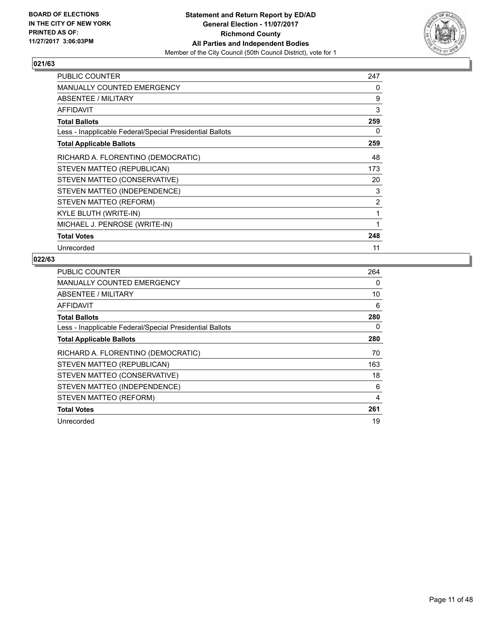

| <b>PUBLIC COUNTER</b>                                    | 247            |
|----------------------------------------------------------|----------------|
| <b>MANUALLY COUNTED EMERGENCY</b>                        | 0              |
| ABSENTEE / MILITARY                                      | 9              |
| <b>AFFIDAVIT</b>                                         | 3              |
| <b>Total Ballots</b>                                     | 259            |
| Less - Inapplicable Federal/Special Presidential Ballots | 0              |
| <b>Total Applicable Ballots</b>                          | 259            |
| RICHARD A. FLORENTINO (DEMOCRATIC)                       | 48             |
| STEVEN MATTEO (REPUBLICAN)                               | 173            |
| STEVEN MATTEO (CONSERVATIVE)                             | 20             |
| STEVEN MATTEO (INDEPENDENCE)                             | 3              |
| STEVEN MATTEO (REFORM)                                   | $\overline{2}$ |
| KYLE BLUTH (WRITE-IN)                                    | 1              |
| MICHAEL J. PENROSE (WRITE-IN)                            | 1              |
| <b>Total Votes</b>                                       | 248            |
| Unrecorded                                               | 11             |

| <b>PUBLIC COUNTER</b>                                    | 264 |
|----------------------------------------------------------|-----|
| MANUALLY COUNTED EMERGENCY                               | 0   |
| <b>ABSENTEE / MILITARY</b>                               | 10  |
| AFFIDAVIT                                                | 6   |
| <b>Total Ballots</b>                                     | 280 |
| Less - Inapplicable Federal/Special Presidential Ballots | 0   |
| <b>Total Applicable Ballots</b>                          | 280 |
| RICHARD A. FLORENTINO (DEMOCRATIC)                       | 70  |
| STEVEN MATTEO (REPUBLICAN)                               | 163 |
| STEVEN MATTEO (CONSERVATIVE)                             | 18  |
| STEVEN MATTEO (INDEPENDENCE)                             | 6   |
| STEVEN MATTEO (REFORM)                                   | 4   |
| <b>Total Votes</b>                                       | 261 |
| Unrecorded                                               | 19  |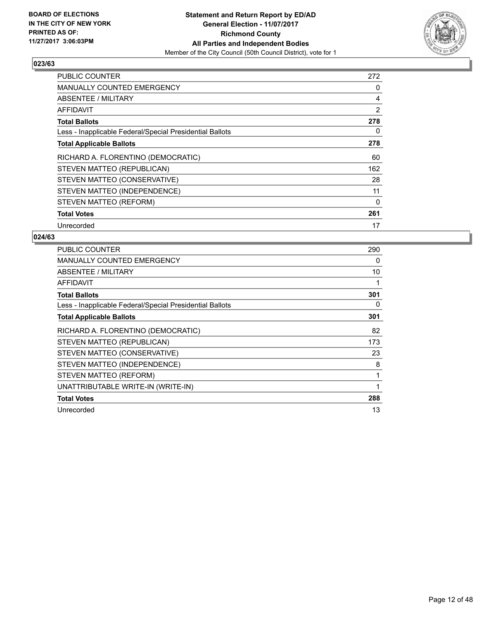

| <b>PUBLIC COUNTER</b>                                    | 272 |
|----------------------------------------------------------|-----|
| <b>MANUALLY COUNTED EMERGENCY</b>                        | 0   |
| <b>ABSENTEE / MILITARY</b>                               | 4   |
| AFFIDAVIT                                                | 2   |
| <b>Total Ballots</b>                                     | 278 |
| Less - Inapplicable Federal/Special Presidential Ballots | 0   |
| <b>Total Applicable Ballots</b>                          | 278 |
| RICHARD A. FLORENTINO (DEMOCRATIC)                       | 60  |
| STEVEN MATTEO (REPUBLICAN)                               | 162 |
| STEVEN MATTEO (CONSERVATIVE)                             | 28  |
| STEVEN MATTEO (INDEPENDENCE)                             | 11  |
| STEVEN MATTEO (REFORM)                                   | 0   |
| <b>Total Votes</b>                                       | 261 |
| Unrecorded                                               | 17  |

| <b>PUBLIC COUNTER</b>                                    | 290 |
|----------------------------------------------------------|-----|
| <b>MANUALLY COUNTED EMERGENCY</b>                        | 0   |
| <b>ABSENTEE / MILITARY</b>                               | 10  |
| <b>AFFIDAVIT</b>                                         | 1   |
| <b>Total Ballots</b>                                     | 301 |
| Less - Inapplicable Federal/Special Presidential Ballots | 0   |
| <b>Total Applicable Ballots</b>                          | 301 |
| RICHARD A. FLORENTINO (DEMOCRATIC)                       | 82  |
| STEVEN MATTEO (REPUBLICAN)                               | 173 |
| STEVEN MATTEO (CONSERVATIVE)                             | 23  |
| STEVEN MATTEO (INDEPENDENCE)                             | 8   |
| STEVEN MATTEO (REFORM)                                   | 1   |
| UNATTRIBUTABLE WRITE-IN (WRITE-IN)                       |     |
| <b>Total Votes</b>                                       | 288 |
| Unrecorded                                               | 13  |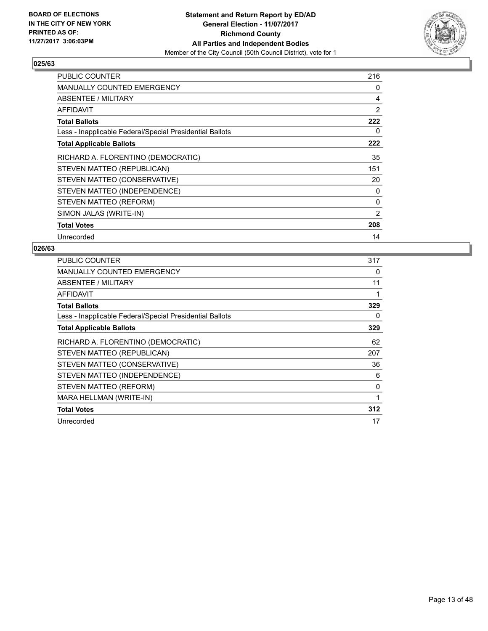

| <b>PUBLIC COUNTER</b>                                    | 216 |
|----------------------------------------------------------|-----|
| MANUALLY COUNTED EMERGENCY                               | 0   |
| ABSENTEE / MILITARY                                      | 4   |
| AFFIDAVIT                                                | 2   |
| <b>Total Ballots</b>                                     | 222 |
| Less - Inapplicable Federal/Special Presidential Ballots | 0   |
| <b>Total Applicable Ballots</b>                          | 222 |
| RICHARD A. FLORENTINO (DEMOCRATIC)                       | 35  |
| STEVEN MATTEO (REPUBLICAN)                               | 151 |
| STEVEN MATTEO (CONSERVATIVE)                             | 20  |
| STEVEN MATTEO (INDEPENDENCE)                             | 0   |
| STEVEN MATTEO (REFORM)                                   | 0   |
| SIMON JALAS (WRITE-IN)                                   | 2   |
| <b>Total Votes</b>                                       | 208 |
| Unrecorded                                               | 14  |

| <b>PUBLIC COUNTER</b>                                    | 317 |
|----------------------------------------------------------|-----|
| <b>MANUALLY COUNTED EMERGENCY</b>                        | 0   |
| ABSENTEE / MILITARY                                      | 11  |
| AFFIDAVIT                                                |     |
| <b>Total Ballots</b>                                     | 329 |
| Less - Inapplicable Federal/Special Presidential Ballots | 0   |
| <b>Total Applicable Ballots</b>                          | 329 |
| RICHARD A. FLORENTINO (DEMOCRATIC)                       | 62  |
| STEVEN MATTEO (REPUBLICAN)                               | 207 |
| STEVEN MATTEO (CONSERVATIVE)                             | 36  |
| STEVEN MATTEO (INDEPENDENCE)                             | 6   |
| STEVEN MATTEO (REFORM)                                   | 0   |
| MARA HELLMAN (WRITE-IN)                                  | 1   |
| <b>Total Votes</b>                                       | 312 |
| Unrecorded                                               | 17  |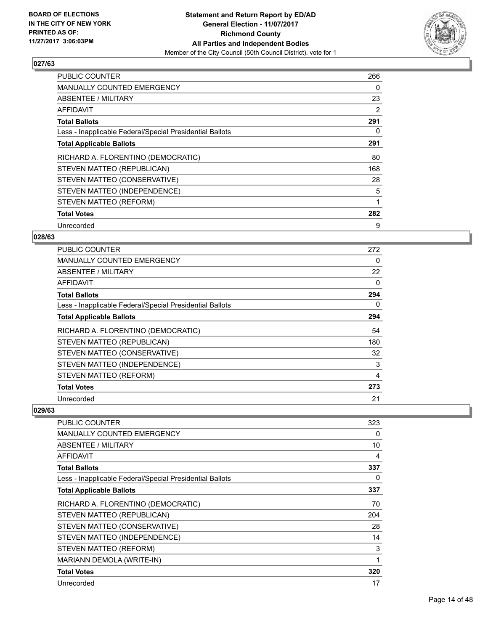

| <b>PUBLIC COUNTER</b>                                    | 266 |
|----------------------------------------------------------|-----|
| MANUALLY COUNTED EMERGENCY                               | 0   |
| ABSENTEE / MILITARY                                      | 23  |
| AFFIDAVIT                                                | 2   |
| <b>Total Ballots</b>                                     | 291 |
| Less - Inapplicable Federal/Special Presidential Ballots | 0   |
| <b>Total Applicable Ballots</b>                          | 291 |
| RICHARD A. FLORENTINO (DEMOCRATIC)                       | 80  |
| STEVEN MATTEO (REPUBLICAN)                               | 168 |
| STEVEN MATTEO (CONSERVATIVE)                             | 28  |
| STEVEN MATTEO (INDEPENDENCE)                             | 5   |
| STEVEN MATTEO (REFORM)                                   | 1   |
| <b>Total Votes</b>                                       | 282 |
| Unrecorded                                               | 9   |

#### **028/63**

| <b>PUBLIC COUNTER</b>                                    | 272 |
|----------------------------------------------------------|-----|
| <b>MANUALLY COUNTED EMERGENCY</b>                        | 0   |
| ABSENTEE / MILITARY                                      | 22  |
| AFFIDAVIT                                                | 0   |
| <b>Total Ballots</b>                                     | 294 |
| Less - Inapplicable Federal/Special Presidential Ballots | 0   |
| <b>Total Applicable Ballots</b>                          | 294 |
| RICHARD A. FLORENTINO (DEMOCRATIC)                       | 54  |
| STEVEN MATTEO (REPUBLICAN)                               | 180 |
| STEVEN MATTEO (CONSERVATIVE)                             | 32  |
| STEVEN MATTEO (INDEPENDENCE)                             | 3   |
| STEVEN MATTEO (REFORM)                                   | 4   |
| <b>Total Votes</b>                                       | 273 |
| Unrecorded                                               | 21  |

| PUBLIC COUNTER                                           | 323 |
|----------------------------------------------------------|-----|
| <b>MANUALLY COUNTED EMERGENCY</b>                        | 0   |
| <b>ABSENTEE / MILITARY</b>                               | 10  |
| <b>AFFIDAVIT</b>                                         | 4   |
| <b>Total Ballots</b>                                     | 337 |
| Less - Inapplicable Federal/Special Presidential Ballots | 0   |
| <b>Total Applicable Ballots</b>                          | 337 |
| RICHARD A. FLORENTINO (DEMOCRATIC)                       | 70  |
| STEVEN MATTEO (REPUBLICAN)                               | 204 |
| STEVEN MATTEO (CONSERVATIVE)                             | 28  |
| STEVEN MATTEO (INDEPENDENCE)                             | 14  |
| STEVEN MATTEO (REFORM)                                   | 3   |
| <b>MARIANN DEMOLA (WRITE-IN)</b>                         | 1   |
| <b>Total Votes</b>                                       | 320 |
| Unrecorded                                               | 17  |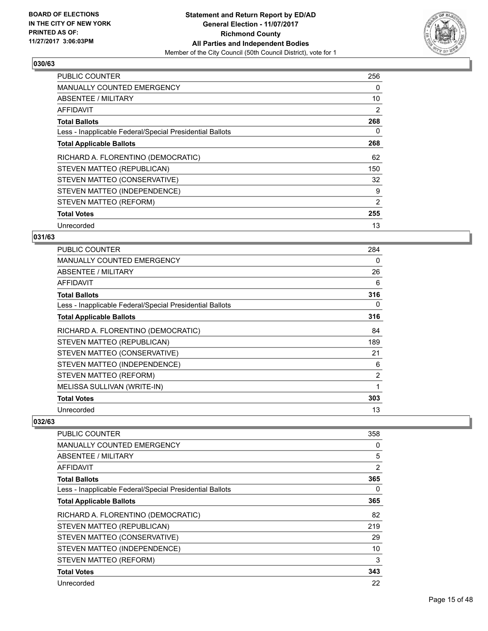

| <b>PUBLIC COUNTER</b>                                    | 256 |
|----------------------------------------------------------|-----|
| <b>MANUALLY COUNTED EMERGENCY</b>                        | 0   |
| ABSENTEE / MILITARY                                      | 10  |
| AFFIDAVIT                                                | 2   |
| <b>Total Ballots</b>                                     | 268 |
| Less - Inapplicable Federal/Special Presidential Ballots | 0   |
| <b>Total Applicable Ballots</b>                          | 268 |
| RICHARD A. FLORENTINO (DEMOCRATIC)                       | 62  |
| STEVEN MATTEO (REPUBLICAN)                               | 150 |
| STEVEN MATTEO (CONSERVATIVE)                             | 32  |
| STEVEN MATTEO (INDEPENDENCE)                             | 9   |
| STEVEN MATTEO (REFORM)                                   | 2   |
| <b>Total Votes</b>                                       | 255 |
| Unrecorded                                               | 13  |

#### **031/63**

| <b>PUBLIC COUNTER</b>                                    | 284 |
|----------------------------------------------------------|-----|
| <b>MANUALLY COUNTED EMERGENCY</b>                        | 0   |
| <b>ABSENTEE / MILITARY</b>                               | 26  |
| AFFIDAVIT                                                | 6   |
| <b>Total Ballots</b>                                     | 316 |
| Less - Inapplicable Federal/Special Presidential Ballots | 0   |
| <b>Total Applicable Ballots</b>                          | 316 |
| RICHARD A. FLORENTINO (DEMOCRATIC)                       | 84  |
| STEVEN MATTEO (REPUBLICAN)                               | 189 |
| STEVEN MATTEO (CONSERVATIVE)                             | 21  |
| STEVEN MATTEO (INDEPENDENCE)                             | 6   |
| STEVEN MATTEO (REFORM)                                   | 2   |
| MELISSA SULLIVAN (WRITE-IN)                              | 1   |
| <b>Total Votes</b>                                       | 303 |
| Unrecorded                                               | 13  |

| <b>PUBLIC COUNTER</b>                                    | 358            |
|----------------------------------------------------------|----------------|
| MANUALLY COUNTED EMERGENCY                               | 0              |
| ABSENTEE / MILITARY                                      | 5              |
| <b>AFFIDAVIT</b>                                         | $\overline{2}$ |
| <b>Total Ballots</b>                                     | 365            |
| Less - Inapplicable Federal/Special Presidential Ballots | 0              |
| <b>Total Applicable Ballots</b>                          | 365            |
| RICHARD A. FLORENTINO (DEMOCRATIC)                       | 82             |
| STEVEN MATTEO (REPUBLICAN)                               | 219            |
| STEVEN MATTEO (CONSERVATIVE)                             | 29             |
| STEVEN MATTEO (INDEPENDENCE)                             | 10             |
| STEVEN MATTEO (REFORM)                                   | 3              |
| <b>Total Votes</b>                                       | 343            |
| Unrecorded                                               | 22             |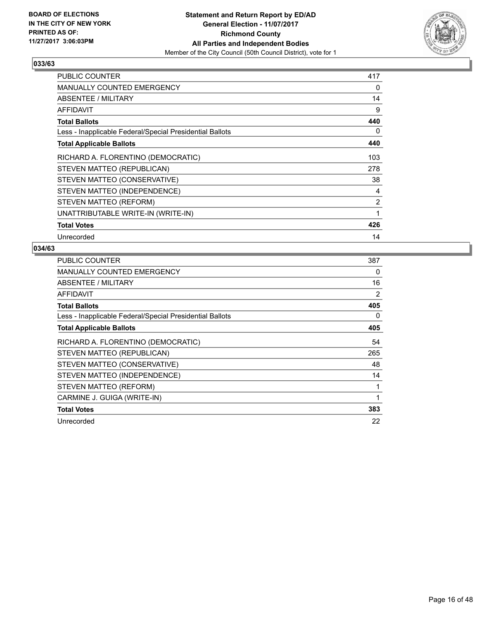

| <b>PUBLIC COUNTER</b>                                    | 417 |
|----------------------------------------------------------|-----|
| MANUALLY COUNTED EMERGENCY                               | 0   |
| ABSENTEE / MILITARY                                      | 14  |
| AFFIDAVIT                                                | 9   |
| <b>Total Ballots</b>                                     | 440 |
| Less - Inapplicable Federal/Special Presidential Ballots | 0   |
| <b>Total Applicable Ballots</b>                          | 440 |
| RICHARD A. FLORENTINO (DEMOCRATIC)                       | 103 |
| STEVEN MATTEO (REPUBLICAN)                               | 278 |
| STEVEN MATTEO (CONSERVATIVE)                             | 38  |
| STEVEN MATTEO (INDEPENDENCE)                             | 4   |
| STEVEN MATTEO (REFORM)                                   | 2   |
| UNATTRIBUTABLE WRITE-IN (WRITE-IN)                       | 1   |
| <b>Total Votes</b>                                       | 426 |
| Unrecorded                                               | 14  |

| <b>PUBLIC COUNTER</b>                                    | 387 |
|----------------------------------------------------------|-----|
| <b>MANUALLY COUNTED EMERGENCY</b>                        | 0   |
| ABSENTEE / MILITARY                                      | 16  |
| AFFIDAVIT                                                | 2   |
| <b>Total Ballots</b>                                     | 405 |
| Less - Inapplicable Federal/Special Presidential Ballots | 0   |
| <b>Total Applicable Ballots</b>                          | 405 |
| RICHARD A. FLORENTINO (DEMOCRATIC)                       | 54  |
| STEVEN MATTEO (REPUBLICAN)                               | 265 |
| STEVEN MATTEO (CONSERVATIVE)                             | 48  |
| STEVEN MATTEO (INDEPENDENCE)                             | 14  |
| STEVEN MATTEO (REFORM)                                   | 1   |
| CARMINE J. GUIGA (WRITE-IN)                              | 1   |
| <b>Total Votes</b>                                       | 383 |
| Unrecorded                                               | 22  |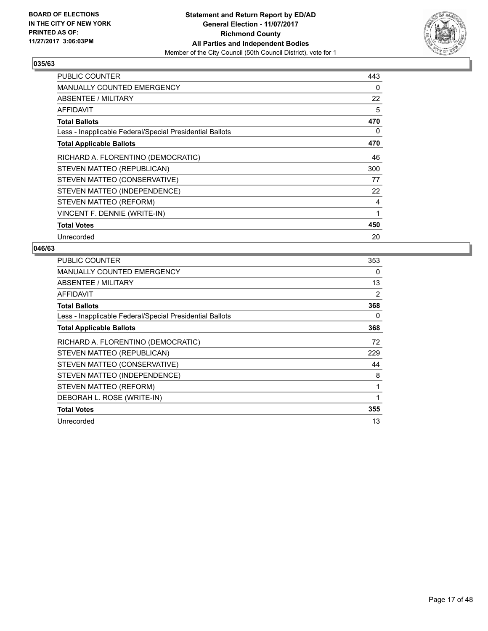

| <b>PUBLIC COUNTER</b>                                    | 443 |
|----------------------------------------------------------|-----|
| <b>MANUALLY COUNTED EMERGENCY</b>                        | 0   |
| ABSENTEE / MILITARY                                      | 22  |
| AFFIDAVIT                                                | 5   |
| <b>Total Ballots</b>                                     | 470 |
| Less - Inapplicable Federal/Special Presidential Ballots | 0   |
| <b>Total Applicable Ballots</b>                          | 470 |
| RICHARD A. FLORENTINO (DEMOCRATIC)                       | 46  |
| STEVEN MATTEO (REPUBLICAN)                               | 300 |
| STEVEN MATTEO (CONSERVATIVE)                             | 77  |
| STEVEN MATTEO (INDEPENDENCE)                             | 22  |
| STEVEN MATTEO (REFORM)                                   | 4   |
| VINCENT F. DENNIE (WRITE-IN)                             | 1   |
| <b>Total Votes</b>                                       | 450 |
| Unrecorded                                               | 20  |

| <b>PUBLIC COUNTER</b>                                    | 353 |
|----------------------------------------------------------|-----|
| <b>MANUALLY COUNTED EMERGENCY</b>                        | 0   |
| ABSENTEE / MILITARY                                      | 13  |
| AFFIDAVIT                                                | 2   |
| Total Ballots                                            | 368 |
| Less - Inapplicable Federal/Special Presidential Ballots | 0   |
| <b>Total Applicable Ballots</b>                          | 368 |
| RICHARD A. FLORENTINO (DEMOCRATIC)                       | 72  |
| STEVEN MATTEO (REPUBLICAN)                               | 229 |
| STEVEN MATTEO (CONSERVATIVE)                             | 44  |
| STEVEN MATTEO (INDEPENDENCE)                             | 8   |
| STEVEN MATTEO (REFORM)                                   | 1   |
| DEBORAH L. ROSE (WRITE-IN)                               | 1   |
| <b>Total Votes</b>                                       | 355 |
| Unrecorded                                               | 13  |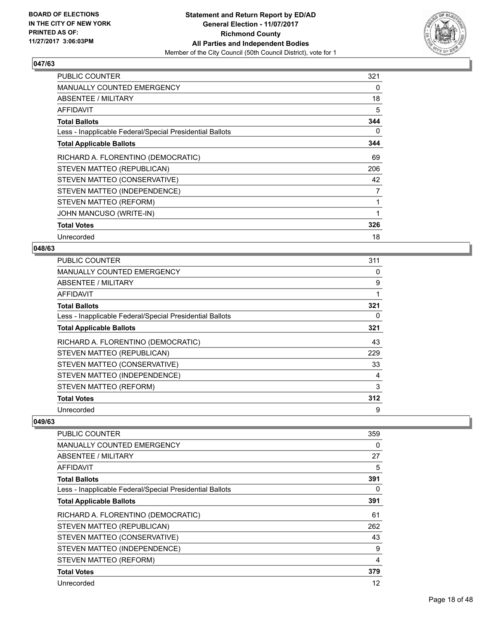

| <b>PUBLIC COUNTER</b>                                    | 321 |
|----------------------------------------------------------|-----|
| <b>MANUALLY COUNTED EMERGENCY</b>                        | 0   |
| ABSENTEE / MILITARY                                      | 18  |
| AFFIDAVIT                                                | 5   |
| <b>Total Ballots</b>                                     | 344 |
| Less - Inapplicable Federal/Special Presidential Ballots | 0   |
| <b>Total Applicable Ballots</b>                          | 344 |
| RICHARD A. FLORENTINO (DEMOCRATIC)                       | 69  |
| STEVEN MATTEO (REPUBLICAN)                               | 206 |
| STEVEN MATTEO (CONSERVATIVE)                             | 42  |
| STEVEN MATTEO (INDEPENDENCE)                             | 7   |
| STEVEN MATTEO (REFORM)                                   | 1   |
| JOHN MANCUSO (WRITE-IN)                                  | 1   |
| <b>Total Votes</b>                                       | 326 |
| Unrecorded                                               | 18  |

#### **048/63**

| <b>PUBLIC COUNTER</b>                                    | 311 |
|----------------------------------------------------------|-----|
| <b>MANUALLY COUNTED EMERGENCY</b>                        | 0   |
| ABSENTEE / MILITARY                                      | 9   |
| AFFIDAVIT                                                |     |
| <b>Total Ballots</b>                                     | 321 |
| Less - Inapplicable Federal/Special Presidential Ballots | 0   |
| <b>Total Applicable Ballots</b>                          | 321 |
| RICHARD A. FLORENTINO (DEMOCRATIC)                       | 43  |
| STEVEN MATTEO (REPUBLICAN)                               | 229 |
| STEVEN MATTEO (CONSERVATIVE)                             | 33  |
| STEVEN MATTEO (INDEPENDENCE)                             | 4   |
| STEVEN MATTEO (REFORM)                                   | 3   |
| <b>Total Votes</b>                                       | 312 |
| Unrecorded                                               | 9   |

| <b>PUBLIC COUNTER</b>                                    | 359 |
|----------------------------------------------------------|-----|
| <b>MANUALLY COUNTED EMERGENCY</b>                        | 0   |
| ABSENTEE / MILITARY                                      | 27  |
| AFFIDAVIT                                                | 5   |
| <b>Total Ballots</b>                                     | 391 |
| Less - Inapplicable Federal/Special Presidential Ballots | 0   |
| <b>Total Applicable Ballots</b>                          | 391 |
| RICHARD A. FLORENTINO (DEMOCRATIC)                       | 61  |
| STEVEN MATTEO (REPUBLICAN)                               | 262 |
| STEVEN MATTEO (CONSERVATIVE)                             | 43  |
| STEVEN MATTEO (INDEPENDENCE)                             | 9   |
| STEVEN MATTEO (REFORM)                                   | 4   |
| <b>Total Votes</b>                                       | 379 |
| Unrecorded                                               | 12  |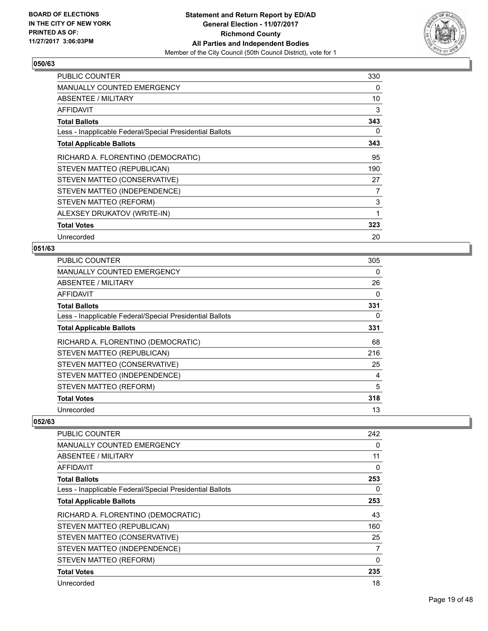

| <b>PUBLIC COUNTER</b>                                    | 330 |
|----------------------------------------------------------|-----|
| MANUALLY COUNTED EMERGENCY                               | 0   |
| ABSENTEE / MILITARY                                      | 10  |
| <b>AFFIDAVIT</b>                                         | 3   |
| <b>Total Ballots</b>                                     | 343 |
| Less - Inapplicable Federal/Special Presidential Ballots | 0   |
| <b>Total Applicable Ballots</b>                          | 343 |
| RICHARD A. FLORENTINO (DEMOCRATIC)                       | 95  |
| STEVEN MATTEO (REPUBLICAN)                               | 190 |
| STEVEN MATTEO (CONSERVATIVE)                             | 27  |
| STEVEN MATTEO (INDEPENDENCE)                             | 7   |
| STEVEN MATTEO (REFORM)                                   | 3   |
| ALEXSEY DRUKATOV (WRITE-IN)                              | 1   |
| <b>Total Votes</b>                                       | 323 |
| Unrecorded                                               | 20  |

## **051/63**

| <b>PUBLIC COUNTER</b>                                    | 305 |
|----------------------------------------------------------|-----|
| <b>MANUALLY COUNTED EMERGENCY</b>                        | 0   |
| ABSENTEE / MILITARY                                      | 26  |
| AFFIDAVIT                                                | 0   |
| <b>Total Ballots</b>                                     | 331 |
| Less - Inapplicable Federal/Special Presidential Ballots | 0   |
| <b>Total Applicable Ballots</b>                          | 331 |
| RICHARD A. FLORENTINO (DEMOCRATIC)                       | 68  |
| STEVEN MATTEO (REPUBLICAN)                               | 216 |
| STEVEN MATTEO (CONSERVATIVE)                             | 25  |
| STEVEN MATTEO (INDEPENDENCE)                             | 4   |
| STEVEN MATTEO (REFORM)                                   | 5   |
| <b>Total Votes</b>                                       | 318 |
| Unrecorded                                               | 13  |

| PUBLIC COUNTER                                           | 242          |
|----------------------------------------------------------|--------------|
| <b>MANUALLY COUNTED EMERGENCY</b>                        | 0            |
| ABSENTEE / MILITARY                                      | 11           |
| AFFIDAVIT                                                | $\mathbf{0}$ |
| <b>Total Ballots</b>                                     | 253          |
| Less - Inapplicable Federal/Special Presidential Ballots | 0            |
| <b>Total Applicable Ballots</b>                          | 253          |
| RICHARD A. FLORENTINO (DEMOCRATIC)                       | 43           |
| STEVEN MATTEO (REPUBLICAN)                               | 160          |
| STEVEN MATTEO (CONSERVATIVE)                             | 25           |
| STEVEN MATTEO (INDEPENDENCE)                             | 7            |
| STEVEN MATTEO (REFORM)                                   | 0            |
| <b>Total Votes</b>                                       | 235          |
| Unrecorded                                               | 18           |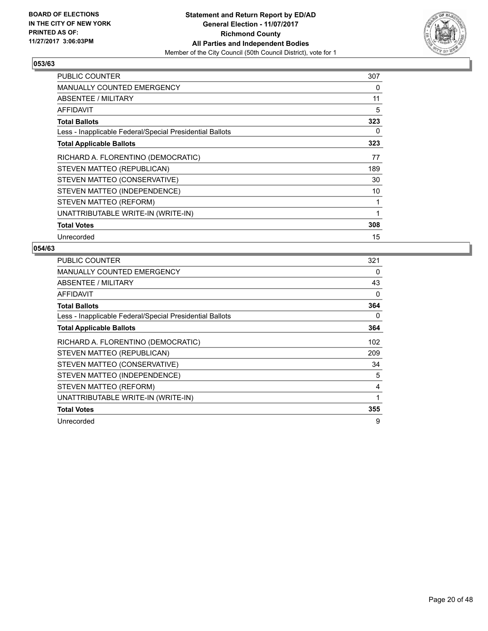

| <b>PUBLIC COUNTER</b>                                    | 307 |
|----------------------------------------------------------|-----|
| MANUALLY COUNTED EMERGENCY                               | 0   |
| ABSENTEE / MILITARY                                      | 11  |
| AFFIDAVIT                                                | 5   |
| <b>Total Ballots</b>                                     | 323 |
| Less - Inapplicable Federal/Special Presidential Ballots | 0   |
| <b>Total Applicable Ballots</b>                          | 323 |
| RICHARD A. FLORENTINO (DEMOCRATIC)                       | 77  |
| STEVEN MATTEO (REPUBLICAN)                               | 189 |
| STEVEN MATTEO (CONSERVATIVE)                             | 30  |
| STEVEN MATTEO (INDEPENDENCE)                             | 10  |
| STEVEN MATTEO (REFORM)                                   | 1   |
| UNATTRIBUTABLE WRITE-IN (WRITE-IN)                       | 1   |
| <b>Total Votes</b>                                       | 308 |
| Unrecorded                                               | 15  |

| <b>PUBLIC COUNTER</b>                                    | 321 |
|----------------------------------------------------------|-----|
| <b>MANUALLY COUNTED EMERGENCY</b>                        | 0   |
| ABSENTEE / MILITARY                                      | 43  |
| AFFIDAVIT                                                | 0   |
| <b>Total Ballots</b>                                     | 364 |
| Less - Inapplicable Federal/Special Presidential Ballots | 0   |
| <b>Total Applicable Ballots</b>                          | 364 |
| RICHARD A. FLORENTINO (DEMOCRATIC)                       | 102 |
| STEVEN MATTEO (REPUBLICAN)                               | 209 |
| STEVEN MATTEO (CONSERVATIVE)                             | 34  |
| STEVEN MATTEO (INDEPENDENCE)                             | 5   |
| STEVEN MATTEO (REFORM)                                   | 4   |
| UNATTRIBUTABLE WRITE-IN (WRITE-IN)                       | 1   |
| <b>Total Votes</b>                                       | 355 |
| Unrecorded                                               | 9   |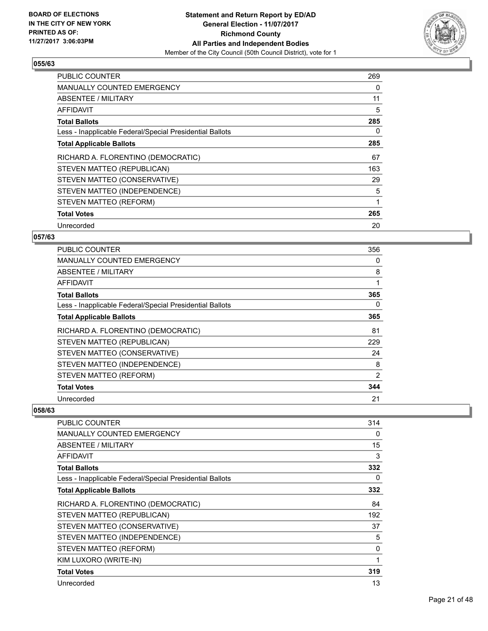

| <b>PUBLIC COUNTER</b>                                    | 269 |
|----------------------------------------------------------|-----|
| <b>MANUALLY COUNTED EMERGENCY</b>                        | 0   |
| ABSENTEE / MILITARY                                      | 11  |
| AFFIDAVIT                                                | 5   |
| <b>Total Ballots</b>                                     | 285 |
| Less - Inapplicable Federal/Special Presidential Ballots | 0   |
| <b>Total Applicable Ballots</b>                          | 285 |
| RICHARD A. FLORENTINO (DEMOCRATIC)                       | 67  |
| STEVEN MATTEO (REPUBLICAN)                               | 163 |
| STEVEN MATTEO (CONSERVATIVE)                             | 29  |
| STEVEN MATTEO (INDEPENDENCE)                             | 5   |
| STEVEN MATTEO (REFORM)                                   | 1   |
|                                                          |     |
| <b>Total Votes</b>                                       | 265 |

#### **057/63**

| <b>PUBLIC COUNTER</b>                                    | 356 |
|----------------------------------------------------------|-----|
| <b>MANUALLY COUNTED EMERGENCY</b>                        | 0   |
| ABSENTEE / MILITARY                                      | 8   |
| AFFIDAVIT                                                | 1   |
| <b>Total Ballots</b>                                     | 365 |
| Less - Inapplicable Federal/Special Presidential Ballots | 0   |
| <b>Total Applicable Ballots</b>                          | 365 |
| RICHARD A. FLORENTINO (DEMOCRATIC)                       | 81  |
| STEVEN MATTEO (REPUBLICAN)                               | 229 |
| STEVEN MATTEO (CONSERVATIVE)                             | 24  |
| STEVEN MATTEO (INDEPENDENCE)                             | 8   |
| STEVEN MATTEO (REFORM)                                   | 2   |
| <b>Total Votes</b>                                       | 344 |
| Unrecorded                                               | 21  |

| PUBLIC COUNTER                                           | 314 |
|----------------------------------------------------------|-----|
| MANUALLY COUNTED EMERGENCY                               | 0   |
| <b>ABSENTEE / MILITARY</b>                               | 15  |
| AFFIDAVIT                                                | 3   |
| <b>Total Ballots</b>                                     | 332 |
| Less - Inapplicable Federal/Special Presidential Ballots | 0   |
| <b>Total Applicable Ballots</b>                          | 332 |
| RICHARD A. FLORENTINO (DEMOCRATIC)                       | 84  |
| STEVEN MATTEO (REPUBLICAN)                               | 192 |
| STEVEN MATTEO (CONSERVATIVE)                             | 37  |
| STEVEN MATTEO (INDEPENDENCE)                             | 5   |
| STEVEN MATTEO (REFORM)                                   | 0   |
| KIM LUXORO (WRITE-IN)                                    | 1   |
| <b>Total Votes</b>                                       | 319 |
| Unrecorded                                               | 13  |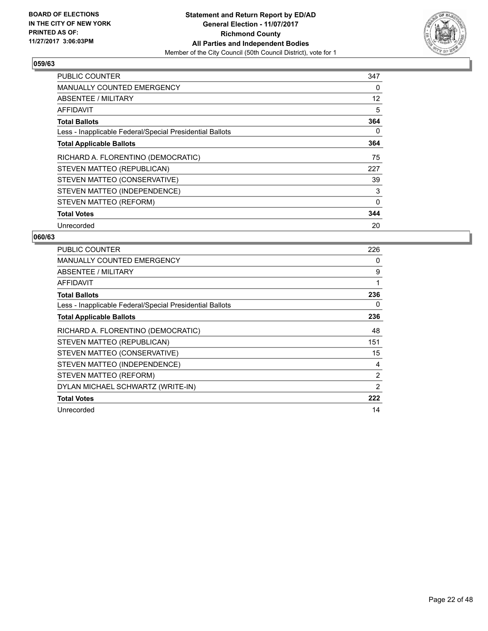

| <b>PUBLIC COUNTER</b>                                    | 347 |
|----------------------------------------------------------|-----|
| <b>MANUALLY COUNTED EMERGENCY</b>                        | 0   |
| ABSENTEE / MILITARY                                      | 12  |
| AFFIDAVIT                                                | 5   |
| <b>Total Ballots</b>                                     | 364 |
| Less - Inapplicable Federal/Special Presidential Ballots | 0   |
| <b>Total Applicable Ballots</b>                          | 364 |
| RICHARD A. FLORENTINO (DEMOCRATIC)                       | 75  |
| STEVEN MATTEO (REPUBLICAN)                               | 227 |
| STEVEN MATTEO (CONSERVATIVE)                             | 39  |
| STEVEN MATTEO (INDEPENDENCE)                             | 3   |
| STEVEN MATTEO (REFORM)                                   | 0   |
|                                                          |     |
| <b>Total Votes</b>                                       | 344 |

| <b>PUBLIC COUNTER</b>                                    | 226 |
|----------------------------------------------------------|-----|
| <b>MANUALLY COUNTED EMERGENCY</b>                        | 0   |
| <b>ABSENTEE / MILITARY</b>                               | 9   |
| <b>AFFIDAVIT</b>                                         | 1   |
| <b>Total Ballots</b>                                     | 236 |
| Less - Inapplicable Federal/Special Presidential Ballots | 0   |
| <b>Total Applicable Ballots</b>                          | 236 |
| RICHARD A. FLORENTINO (DEMOCRATIC)                       | 48  |
| STEVEN MATTEO (REPUBLICAN)                               | 151 |
| STEVEN MATTEO (CONSERVATIVE)                             | 15  |
| STEVEN MATTEO (INDEPENDENCE)                             | 4   |
| STEVEN MATTEO (REFORM)                                   | 2   |
| DYLAN MICHAEL SCHWARTZ (WRITE-IN)                        | 2   |
| <b>Total Votes</b>                                       | 222 |
| Unrecorded                                               | 14  |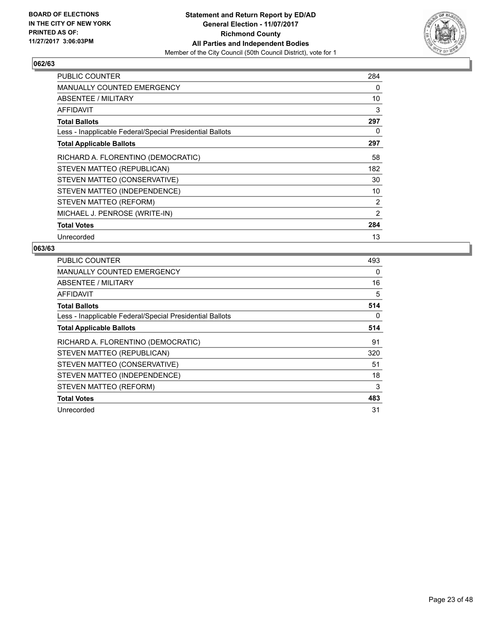

| <b>PUBLIC COUNTER</b>                                    | 284 |
|----------------------------------------------------------|-----|
| MANUALLY COUNTED EMERGENCY                               | 0   |
| ABSENTEE / MILITARY                                      | 10  |
| AFFIDAVIT                                                | 3   |
| <b>Total Ballots</b>                                     | 297 |
| Less - Inapplicable Federal/Special Presidential Ballots | 0   |
| <b>Total Applicable Ballots</b>                          | 297 |
| RICHARD A. FLORENTINO (DEMOCRATIC)                       | 58  |
| STEVEN MATTEO (REPUBLICAN)                               | 182 |
| STEVEN MATTEO (CONSERVATIVE)                             | 30  |
| STEVEN MATTEO (INDEPENDENCE)                             | 10  |
| STEVEN MATTEO (REFORM)                                   | 2   |
| MICHAEL J. PENROSE (WRITE-IN)                            | 2   |
| <b>Total Votes</b>                                       | 284 |
| Unrecorded                                               | 13  |

| <b>PUBLIC COUNTER</b>                                    | 493 |
|----------------------------------------------------------|-----|
| <b>MANUALLY COUNTED EMERGENCY</b>                        | 0   |
| <b>ABSENTEE / MILITARY</b>                               | 16  |
| AFFIDAVIT                                                | 5   |
| <b>Total Ballots</b>                                     | 514 |
| Less - Inapplicable Federal/Special Presidential Ballots | 0   |
| <b>Total Applicable Ballots</b>                          | 514 |
| RICHARD A. FLORENTINO (DEMOCRATIC)                       |     |
|                                                          | 91  |
| STEVEN MATTEO (REPUBLICAN)                               | 320 |
| STEVEN MATTEO (CONSERVATIVE)                             | 51  |
| STEVEN MATTEO (INDEPENDENCE)                             | 18  |
| STEVEN MATTEO (REFORM)                                   | 3   |
| <b>Total Votes</b>                                       | 483 |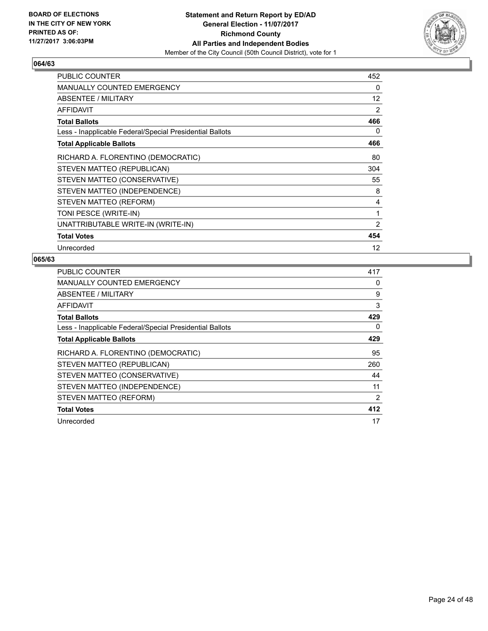

| <b>PUBLIC COUNTER</b>                                    | 452 |
|----------------------------------------------------------|-----|
| <b>MANUALLY COUNTED EMERGENCY</b>                        | 0   |
| ABSENTEE / MILITARY                                      | 12  |
| <b>AFFIDAVIT</b>                                         | 2   |
| <b>Total Ballots</b>                                     | 466 |
| Less - Inapplicable Federal/Special Presidential Ballots | 0   |
| <b>Total Applicable Ballots</b>                          | 466 |
| RICHARD A. FLORENTINO (DEMOCRATIC)                       | 80  |
| STEVEN MATTEO (REPUBLICAN)                               | 304 |
| STEVEN MATTEO (CONSERVATIVE)                             | 55  |
| STEVEN MATTEO (INDEPENDENCE)                             | 8   |
| STEVEN MATTEO (REFORM)                                   | 4   |
| TONI PESCE (WRITE-IN)                                    | 1   |
| UNATTRIBUTABLE WRITE-IN (WRITE-IN)                       | 2   |
| <b>Total Votes</b>                                       | 454 |
| Unrecorded                                               | 12  |

| <b>PUBLIC COUNTER</b>                                    | 417 |
|----------------------------------------------------------|-----|
| <b>MANUALLY COUNTED EMERGENCY</b>                        | 0   |
| ABSENTEE / MILITARY                                      | 9   |
| AFFIDAVIT                                                | 3   |
| <b>Total Ballots</b>                                     | 429 |
| Less - Inapplicable Federal/Special Presidential Ballots | 0   |
| <b>Total Applicable Ballots</b>                          | 429 |
| RICHARD A. FLORENTINO (DEMOCRATIC)                       | 95  |
| STEVEN MATTEO (REPUBLICAN)                               | 260 |
| STEVEN MATTEO (CONSERVATIVE)                             | 44  |
| STEVEN MATTEO (INDEPENDENCE)                             | 11  |
| STEVEN MATTEO (REFORM)                                   | 2   |
| <b>Total Votes</b>                                       | 412 |
| Unrecorded                                               | 17  |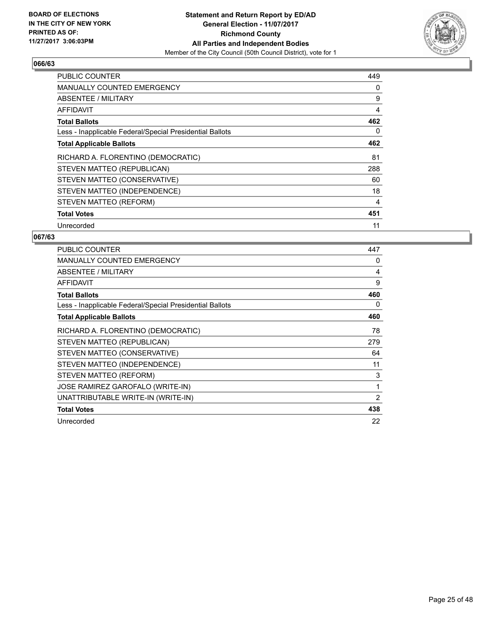

| <b>PUBLIC COUNTER</b>                                    | 449 |
|----------------------------------------------------------|-----|
| <b>MANUALLY COUNTED EMERGENCY</b>                        | 0   |
| ABSENTEE / MILITARY                                      | 9   |
| AFFIDAVIT                                                | 4   |
| <b>Total Ballots</b>                                     | 462 |
| Less - Inapplicable Federal/Special Presidential Ballots | 0   |
| <b>Total Applicable Ballots</b>                          | 462 |
| RICHARD A. FLORENTINO (DEMOCRATIC)                       | 81  |
| STEVEN MATTEO (REPUBLICAN)                               | 288 |
| STEVEN MATTEO (CONSERVATIVE)                             | 60  |
| STEVEN MATTEO (INDEPENDENCE)                             | 18  |
| STEVEN MATTEO (REFORM)                                   | 4   |
| <b>Total Votes</b>                                       | 451 |
| Unrecorded                                               | 11  |

| <b>PUBLIC COUNTER</b>                                    | 447 |
|----------------------------------------------------------|-----|
| <b>MANUALLY COUNTED EMERGENCY</b>                        | 0   |
| ABSENTEE / MILITARY                                      | 4   |
| <b>AFFIDAVIT</b>                                         | 9   |
| <b>Total Ballots</b>                                     | 460 |
| Less - Inapplicable Federal/Special Presidential Ballots | 0   |
| <b>Total Applicable Ballots</b>                          | 460 |
| RICHARD A. FLORENTINO (DEMOCRATIC)                       | 78  |
| STEVEN MATTEO (REPUBLICAN)                               | 279 |
| STEVEN MATTEO (CONSERVATIVE)                             | 64  |
| STEVEN MATTEO (INDEPENDENCE)                             | 11  |
| STEVEN MATTEO (REFORM)                                   | 3   |
| JOSE RAMIREZ GAROFALO (WRITE-IN)                         | 1   |
| UNATTRIBUTABLE WRITE-IN (WRITE-IN)                       | 2   |
| <b>Total Votes</b>                                       | 438 |
| Unrecorded                                               | 22  |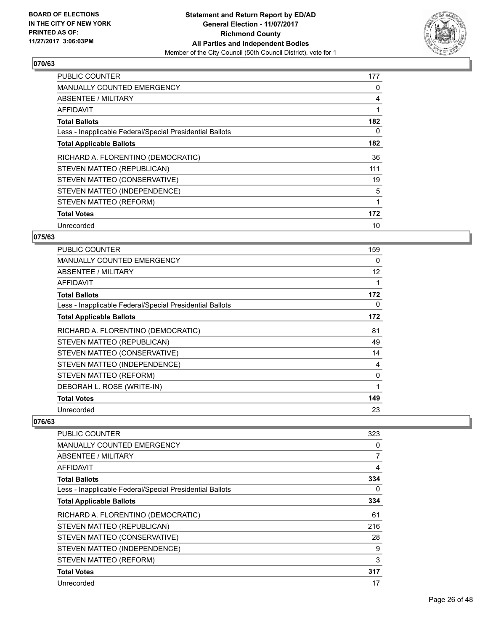

| <b>PUBLIC COUNTER</b>                                    | 177 |
|----------------------------------------------------------|-----|
| <b>MANUALLY COUNTED EMERGENCY</b>                        | 0   |
| <b>ABSENTEE / MILITARY</b>                               | 4   |
| AFFIDAVIT                                                |     |
| <b>Total Ballots</b>                                     | 182 |
| Less - Inapplicable Federal/Special Presidential Ballots | 0   |
| <b>Total Applicable Ballots</b>                          | 182 |
| RICHARD A. FLORENTINO (DEMOCRATIC)                       | 36  |
| STEVEN MATTEO (REPUBLICAN)                               | 111 |
| STEVEN MATTEO (CONSERVATIVE)                             | 19  |
| STEVEN MATTEO (INDEPENDENCE)                             | 5   |
| STEVEN MATTEO (REFORM)                                   | 1   |
| <b>Total Votes</b>                                       | 172 |
| Unrecorded                                               | 10  |

#### **075/63**

| <b>PUBLIC COUNTER</b>                                    | 159 |
|----------------------------------------------------------|-----|
| <b>MANUALLY COUNTED EMERGENCY</b>                        | 0   |
| <b>ABSENTEE / MILITARY</b>                               | 12  |
| AFFIDAVIT                                                |     |
| <b>Total Ballots</b>                                     | 172 |
| Less - Inapplicable Federal/Special Presidential Ballots | 0   |
| <b>Total Applicable Ballots</b>                          | 172 |
| RICHARD A. FLORENTINO (DEMOCRATIC)                       | 81  |
| STEVEN MATTEO (REPUBLICAN)                               | 49  |
| STEVEN MATTEO (CONSERVATIVE)                             | 14  |
| STEVEN MATTEO (INDEPENDENCE)                             | 4   |
| STEVEN MATTEO (REFORM)                                   | 0   |
| DEBORAH L. ROSE (WRITE-IN)                               |     |
| <b>Total Votes</b>                                       | 149 |
| Unrecorded                                               | 23  |

| PUBLIC COUNTER                                           | 323 |
|----------------------------------------------------------|-----|
| <b>MANUALLY COUNTED EMERGENCY</b>                        | 0   |
| ABSENTEE / MILITARY                                      | 7   |
| AFFIDAVIT                                                | 4   |
| <b>Total Ballots</b>                                     | 334 |
| Less - Inapplicable Federal/Special Presidential Ballots | 0   |
| <b>Total Applicable Ballots</b>                          | 334 |
| RICHARD A. FLORENTINO (DEMOCRATIC)                       | 61  |
| STEVEN MATTEO (REPUBLICAN)                               | 216 |
| STEVEN MATTEO (CONSERVATIVE)                             | 28  |
| STEVEN MATTEO (INDEPENDENCE)                             | 9   |
| STEVEN MATTEO (REFORM)                                   | 3   |
| <b>Total Votes</b>                                       | 317 |
| Unrecorded                                               | 17  |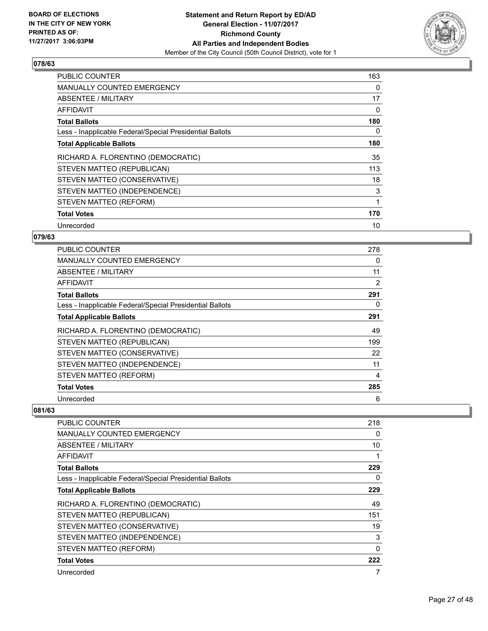

| <b>PUBLIC COUNTER</b>                                    | 163 |
|----------------------------------------------------------|-----|
| <b>MANUALLY COUNTED EMERGENCY</b>                        | 0   |
| ABSENTEE / MILITARY                                      | 17  |
| AFFIDAVIT                                                | 0   |
| <b>Total Ballots</b>                                     | 180 |
| Less - Inapplicable Federal/Special Presidential Ballots | 0   |
| <b>Total Applicable Ballots</b>                          | 180 |
| RICHARD A. FLORENTINO (DEMOCRATIC)                       | 35  |
| STEVEN MATTEO (REPUBLICAN)                               | 113 |
| STEVEN MATTEO (CONSERVATIVE)                             | 18  |
| STEVEN MATTEO (INDEPENDENCE)                             | 3   |
| STEVEN MATTEO (REFORM)                                   | 1   |
| <b>Total Votes</b>                                       | 170 |
|                                                          |     |

#### **079/63**

| <b>PUBLIC COUNTER</b>                                    | 278 |
|----------------------------------------------------------|-----|
| <b>MANUALLY COUNTED EMERGENCY</b>                        | 0   |
| ABSENTEE / MILITARY                                      | 11  |
| AFFIDAVIT                                                | 2   |
| <b>Total Ballots</b>                                     | 291 |
| Less - Inapplicable Federal/Special Presidential Ballots | 0   |
| <b>Total Applicable Ballots</b>                          | 291 |
| RICHARD A. FLORENTINO (DEMOCRATIC)                       | 49  |
| STEVEN MATTEO (REPUBLICAN)                               | 199 |
| STEVEN MATTEO (CONSERVATIVE)                             | 22  |
| STEVEN MATTEO (INDEPENDENCE)                             | 11  |
| STEVEN MATTEO (REFORM)                                   | 4   |
| <b>Total Votes</b>                                       | 285 |
| Unrecorded                                               | 6   |

| PUBLIC COUNTER                                           | 218      |
|----------------------------------------------------------|----------|
| <b>MANUALLY COUNTED EMERGENCY</b>                        | 0        |
| <b>ABSENTEE / MILITARY</b>                               | 10       |
| AFFIDAVIT                                                | 1        |
| <b>Total Ballots</b>                                     | 229      |
| Less - Inapplicable Federal/Special Presidential Ballots | 0        |
| <b>Total Applicable Ballots</b>                          | 229      |
| RICHARD A. FLORENTINO (DEMOCRATIC)                       | 49       |
| STEVEN MATTEO (REPUBLICAN)                               | 151      |
| STEVEN MATTEO (CONSERVATIVE)                             | 19       |
| STEVEN MATTEO (INDEPENDENCE)                             | 3        |
| STEVEN MATTEO (REFORM)                                   | $\Omega$ |
| <b>Total Votes</b>                                       | 222      |
| Unrecorded                                               | 7        |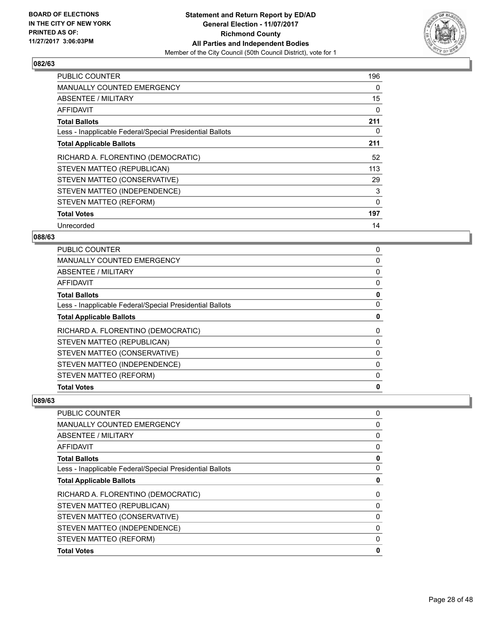

| <b>PUBLIC COUNTER</b>                                    | 196 |
|----------------------------------------------------------|-----|
| <b>MANUALLY COUNTED EMERGENCY</b>                        | 0   |
| ABSENTEE / MILITARY                                      | 15  |
| AFFIDAVIT                                                | 0   |
| <b>Total Ballots</b>                                     | 211 |
| Less - Inapplicable Federal/Special Presidential Ballots | 0   |
| <b>Total Applicable Ballots</b>                          | 211 |
| RICHARD A. FLORENTINO (DEMOCRATIC)                       | 52  |
| STEVEN MATTEO (REPUBLICAN)                               | 113 |
| STEVEN MATTEO (CONSERVATIVE)                             | 29  |
| STEVEN MATTEO (INDEPENDENCE)                             | 3   |
| STEVEN MATTEO (REFORM)                                   | 0   |
| <b>Total Votes</b>                                       | 197 |
| Unrecorded                                               | 14  |

#### **088/63**

| <b>PUBLIC COUNTER</b>                                    | 0        |
|----------------------------------------------------------|----------|
| <b>MANUALLY COUNTED EMERGENCY</b>                        | 0        |
| ABSENTEE / MILITARY                                      | 0        |
| AFFIDAVIT                                                | 0        |
| <b>Total Ballots</b>                                     | 0        |
| Less - Inapplicable Federal/Special Presidential Ballots | 0        |
| <b>Total Applicable Ballots</b>                          | 0        |
| RICHARD A. FLORENTINO (DEMOCRATIC)                       | 0        |
| STEVEN MATTEO (REPUBLICAN)                               | 0        |
| STEVEN MATTEO (CONSERVATIVE)                             | 0        |
| STEVEN MATTEO (INDEPENDENCE)                             | 0        |
| STEVEN MATTEO (REFORM)                                   | $\Omega$ |
| <b>Total Votes</b>                                       | 0        |

| PUBLIC COUNTER                                           | 0 |
|----------------------------------------------------------|---|
| <b>MANUALLY COUNTED EMERGENCY</b>                        | 0 |
| ABSENTEE / MILITARY                                      | 0 |
| <b>AFFIDAVIT</b>                                         | 0 |
| <b>Total Ballots</b>                                     | 0 |
| Less - Inapplicable Federal/Special Presidential Ballots | 0 |
| <b>Total Applicable Ballots</b>                          | 0 |
| RICHARD A. FLORENTINO (DEMOCRATIC)                       | 0 |
| STEVEN MATTEO (REPUBLICAN)                               | 0 |
| STEVEN MATTEO (CONSERVATIVE)                             | 0 |
| STEVEN MATTEO (INDEPENDENCE)                             | 0 |
| STEVEN MATTEO (REFORM)                                   | 0 |
| <b>Total Votes</b>                                       | 0 |
|                                                          |   |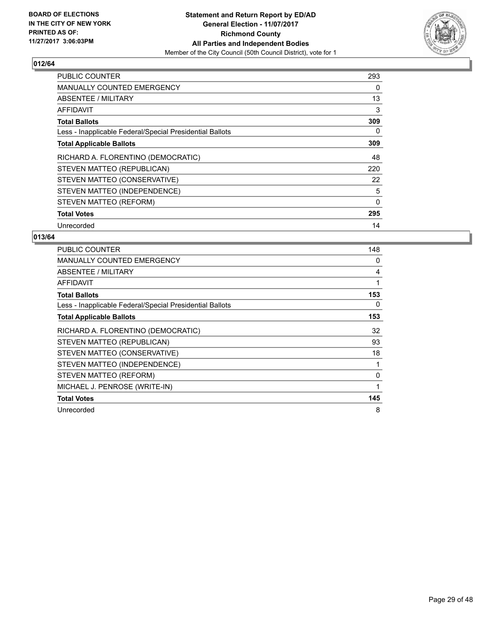

| <b>PUBLIC COUNTER</b>                                    | 293 |
|----------------------------------------------------------|-----|
| <b>MANUALLY COUNTED EMERGENCY</b>                        | 0   |
| ABSENTEE / MILITARY                                      | 13  |
| AFFIDAVIT                                                | 3   |
| <b>Total Ballots</b>                                     | 309 |
| Less - Inapplicable Federal/Special Presidential Ballots | 0   |
| <b>Total Applicable Ballots</b>                          | 309 |
| RICHARD A. FLORENTINO (DEMOCRATIC)                       | 48  |
| STEVEN MATTEO (REPUBLICAN)                               | 220 |
| STEVEN MATTEO (CONSERVATIVE)                             | 22  |
| STEVEN MATTEO (INDEPENDENCE)                             | 5   |
| STEVEN MATTEO (REFORM)                                   | 0   |
| <b>Total Votes</b>                                       | 295 |
|                                                          |     |

| <b>PUBLIC COUNTER</b>                                    | 148 |
|----------------------------------------------------------|-----|
| <b>MANUALLY COUNTED EMERGENCY</b>                        | 0   |
| ABSENTEE / MILITARY                                      | 4   |
| <b>AFFIDAVIT</b>                                         | 1   |
| <b>Total Ballots</b>                                     | 153 |
| Less - Inapplicable Federal/Special Presidential Ballots | 0   |
| <b>Total Applicable Ballots</b>                          | 153 |
| RICHARD A. FLORENTINO (DEMOCRATIC)                       | 32  |
| STEVEN MATTEO (REPUBLICAN)                               | 93  |
| STEVEN MATTEO (CONSERVATIVE)                             | 18  |
| STEVEN MATTEO (INDEPENDENCE)                             |     |
| STEVEN MATTEO (REFORM)                                   | 0   |
| MICHAEL J. PENROSE (WRITE-IN)                            | 1   |
| <b>Total Votes</b>                                       | 145 |
| Unrecorded                                               | 8   |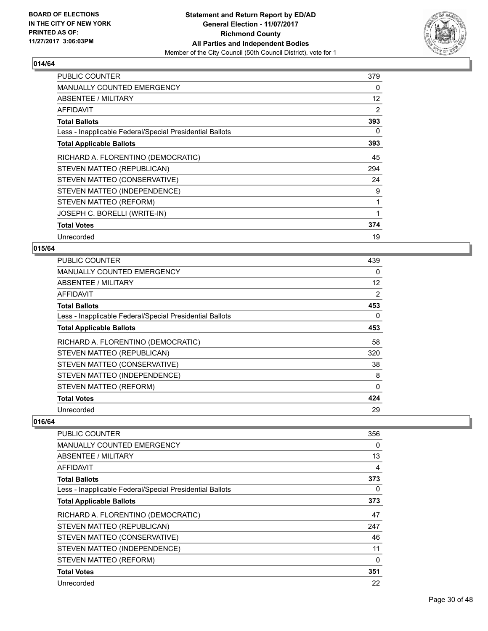

| <b>PUBLIC COUNTER</b>                                    | 379 |
|----------------------------------------------------------|-----|
| <b>MANUALLY COUNTED EMERGENCY</b>                        | 0   |
| ABSENTEE / MILITARY                                      | 12  |
| <b>AFFIDAVIT</b>                                         | 2   |
| <b>Total Ballots</b>                                     | 393 |
| Less - Inapplicable Federal/Special Presidential Ballots | 0   |
| <b>Total Applicable Ballots</b>                          | 393 |
| RICHARD A. FLORENTINO (DEMOCRATIC)                       | 45  |
| STEVEN MATTEO (REPUBLICAN)                               | 294 |
| STEVEN MATTEO (CONSERVATIVE)                             | 24  |
| STEVEN MATTEO (INDEPENDENCE)                             | 9   |
| STEVEN MATTEO (REFORM)                                   | 1   |
| JOSEPH C. BORELLI (WRITE-IN)                             | 1   |
| <b>Total Votes</b>                                       | 374 |
| Unrecorded                                               | 19  |

#### **015/64**

| <b>PUBLIC COUNTER</b>                                    | 439          |
|----------------------------------------------------------|--------------|
| <b>MANUALLY COUNTED EMERGENCY</b>                        | 0            |
| ABSENTEE / MILITARY                                      | 12           |
| AFFIDAVIT                                                | 2            |
| <b>Total Ballots</b>                                     | 453          |
| Less - Inapplicable Federal/Special Presidential Ballots | 0            |
| <b>Total Applicable Ballots</b>                          | 453          |
| RICHARD A. FLORENTINO (DEMOCRATIC)                       | 58           |
| STEVEN MATTEO (REPUBLICAN)                               | 320          |
| STEVEN MATTEO (CONSERVATIVE)                             | 38           |
| STEVEN MATTEO (INDEPENDENCE)                             | 8            |
| STEVEN MATTEO (REFORM)                                   | $\mathbf{0}$ |
| <b>Total Votes</b>                                       | 424          |
| Unrecorded                                               | 29           |

| <b>PUBLIC COUNTER</b>                                    | 356 |
|----------------------------------------------------------|-----|
| MANUALLY COUNTED EMERGENCY                               | 0   |
| ABSENTEE / MILITARY                                      | 13  |
| AFFIDAVIT                                                | 4   |
| <b>Total Ballots</b>                                     | 373 |
| Less - Inapplicable Federal/Special Presidential Ballots | 0   |
| <b>Total Applicable Ballots</b>                          | 373 |
| RICHARD A. FLORENTINO (DEMOCRATIC)                       | 47  |
| STEVEN MATTEO (REPUBLICAN)                               | 247 |
| STEVEN MATTEO (CONSERVATIVE)                             | 46  |
| STEVEN MATTEO (INDEPENDENCE)                             | 11  |
| STEVEN MATTEO (REFORM)                                   | 0   |
| <b>Total Votes</b>                                       | 351 |
| Unrecorded                                               | 22  |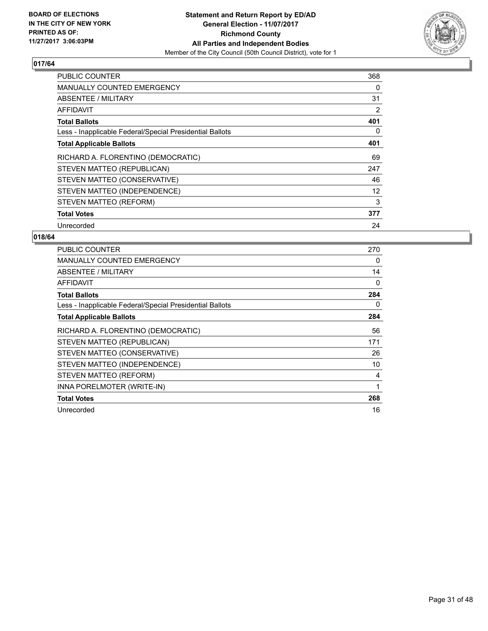

| <b>PUBLIC COUNTER</b>                                    | 368 |
|----------------------------------------------------------|-----|
| <b>MANUALLY COUNTED EMERGENCY</b>                        | 0   |
| ABSENTEE / MILITARY                                      | 31  |
| AFFIDAVIT                                                | 2   |
| <b>Total Ballots</b>                                     | 401 |
| Less - Inapplicable Federal/Special Presidential Ballots | 0   |
| <b>Total Applicable Ballots</b>                          | 401 |
| RICHARD A. FLORENTINO (DEMOCRATIC)                       | 69  |
| STEVEN MATTEO (REPUBLICAN)                               | 247 |
| STEVEN MATTEO (CONSERVATIVE)                             | 46  |
| STEVEN MATTEO (INDEPENDENCE)                             | 12  |
| STEVEN MATTEO (REFORM)                                   | 3   |
| <b>Total Votes</b>                                       | 377 |
| Unrecorded                                               | 24  |

| <b>PUBLIC COUNTER</b>                                    | 270 |
|----------------------------------------------------------|-----|
| <b>MANUALLY COUNTED EMERGENCY</b>                        | 0   |
| ABSENTEE / MILITARY                                      | 14  |
| <b>AFFIDAVIT</b>                                         | 0   |
| <b>Total Ballots</b>                                     | 284 |
| Less - Inapplicable Federal/Special Presidential Ballots | 0   |
| <b>Total Applicable Ballots</b>                          | 284 |
| RICHARD A. FLORENTINO (DEMOCRATIC)                       | 56  |
| STEVEN MATTEO (REPUBLICAN)                               | 171 |
| STEVEN MATTEO (CONSERVATIVE)                             | 26  |
| STEVEN MATTEO (INDEPENDENCE)                             | 10  |
| STEVEN MATTEO (REFORM)                                   | 4   |
| INNA PORELMOTER (WRITE-IN)                               | 1   |
| <b>Total Votes</b>                                       | 268 |
| Unrecorded                                               | 16  |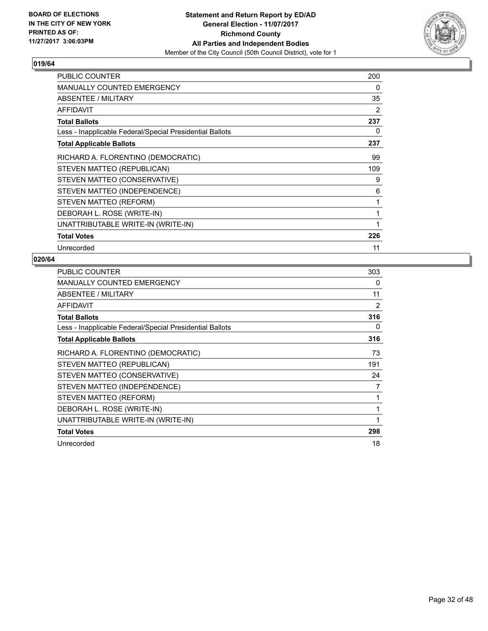

| <b>PUBLIC COUNTER</b>                                    | 200 |
|----------------------------------------------------------|-----|
| <b>MANUALLY COUNTED EMERGENCY</b>                        | 0   |
| ABSENTEE / MILITARY                                      | 35  |
| <b>AFFIDAVIT</b>                                         | 2   |
| <b>Total Ballots</b>                                     | 237 |
| Less - Inapplicable Federal/Special Presidential Ballots | 0   |
| <b>Total Applicable Ballots</b>                          | 237 |
| RICHARD A. FLORENTINO (DEMOCRATIC)                       | 99  |
| STEVEN MATTEO (REPUBLICAN)                               | 109 |
| STEVEN MATTEO (CONSERVATIVE)                             | 9   |
| STEVEN MATTEO (INDEPENDENCE)                             | 6   |
| STEVEN MATTEO (REFORM)                                   | 1   |
| DEBORAH L. ROSE (WRITE-IN)                               | 1   |
| UNATTRIBUTABLE WRITE-IN (WRITE-IN)                       | 1   |
| <b>Total Votes</b>                                       | 226 |
| Unrecorded                                               | 11  |

| <b>PUBLIC COUNTER</b>                                    | 303 |
|----------------------------------------------------------|-----|
| MANUALLY COUNTED EMERGENCY                               | 0   |
| ABSENTEE / MILITARY                                      | 11  |
| AFFIDAVIT                                                | 2   |
| <b>Total Ballots</b>                                     | 316 |
| Less - Inapplicable Federal/Special Presidential Ballots | 0   |
| <b>Total Applicable Ballots</b>                          | 316 |
| RICHARD A. FLORENTINO (DEMOCRATIC)                       | 73  |
| STEVEN MATTEO (REPUBLICAN)                               | 191 |
| STEVEN MATTEO (CONSERVATIVE)                             | 24  |
| STEVEN MATTEO (INDEPENDENCE)                             | 7   |
| STEVEN MATTEO (REFORM)                                   |     |
| DEBORAH L. ROSE (WRITE-IN)                               | 1   |
| UNATTRIBUTABLE WRITE-IN (WRITE-IN)                       | 1   |
| <b>Total Votes</b>                                       | 298 |
| Unrecorded                                               | 18  |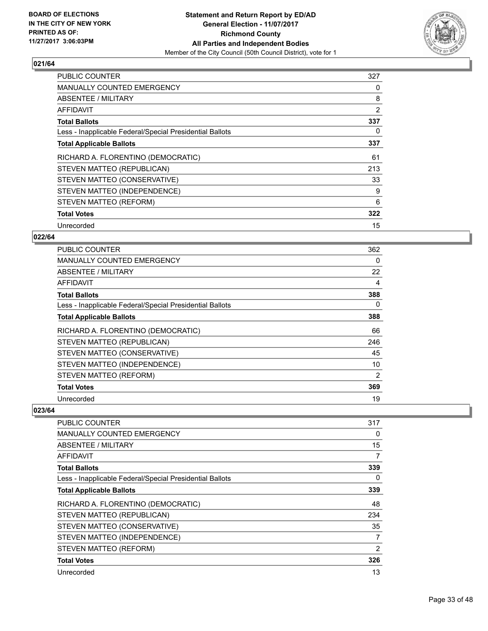

| <b>PUBLIC COUNTER</b>                                    | 327 |
|----------------------------------------------------------|-----|
| <b>MANUALLY COUNTED EMERGENCY</b>                        | 0   |
| ABSENTEE / MILITARY                                      | 8   |
| AFFIDAVIT                                                | 2   |
| <b>Total Ballots</b>                                     | 337 |
| Less - Inapplicable Federal/Special Presidential Ballots | 0   |
| <b>Total Applicable Ballots</b>                          | 337 |
| RICHARD A. FLORENTINO (DEMOCRATIC)                       | 61  |
| STEVEN MATTEO (REPUBLICAN)                               | 213 |
| STEVEN MATTEO (CONSERVATIVE)                             | 33  |
| STEVEN MATTEO (INDEPENDENCE)                             | 9   |
| STEVEN MATTEO (REFORM)                                   | 6   |
| <b>Total Votes</b>                                       | 322 |
| Unrecorded                                               | 15  |

#### **022/64**

| <b>PUBLIC COUNTER</b>                                    | 362 |
|----------------------------------------------------------|-----|
| MANUALLY COUNTED EMERGENCY                               | 0   |
| ABSENTEE / MILITARY                                      | 22  |
| AFFIDAVIT                                                | 4   |
| <b>Total Ballots</b>                                     | 388 |
| Less - Inapplicable Federal/Special Presidential Ballots | 0   |
| <b>Total Applicable Ballots</b>                          | 388 |
| RICHARD A. FLORENTINO (DEMOCRATIC)                       | 66  |
| STEVEN MATTEO (REPUBLICAN)                               | 246 |
| STEVEN MATTEO (CONSERVATIVE)                             | 45  |
| STEVEN MATTEO (INDEPENDENCE)                             | 10  |
| STEVEN MATTEO (REFORM)                                   | 2   |
| <b>Total Votes</b>                                       | 369 |
| Unrecorded                                               | 19  |

| <b>PUBLIC COUNTER</b>                                    | 317 |
|----------------------------------------------------------|-----|
| <b>MANUALLY COUNTED EMERGENCY</b>                        | 0   |
| <b>ABSENTEE / MILITARY</b>                               | 15  |
| <b>AFFIDAVIT</b>                                         | 7   |
| <b>Total Ballots</b>                                     | 339 |
| Less - Inapplicable Federal/Special Presidential Ballots | 0   |
| <b>Total Applicable Ballots</b>                          | 339 |
| RICHARD A. FLORENTINO (DEMOCRATIC)                       | 48  |
| STEVEN MATTEO (REPUBLICAN)                               | 234 |
| STEVEN MATTEO (CONSERVATIVE)                             | 35  |
| STEVEN MATTEO (INDEPENDENCE)                             | 7   |
| STEVEN MATTEO (REFORM)                                   | 2   |
| <b>Total Votes</b>                                       | 326 |
| Unrecorded                                               | 13  |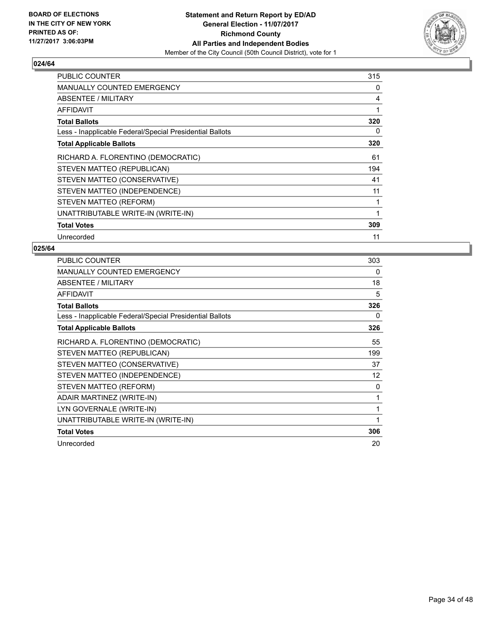

| PUBLIC COUNTER                                           | 315 |
|----------------------------------------------------------|-----|
| <b>MANUALLY COUNTED EMERGENCY</b>                        | 0   |
| ABSENTEE / MILITARY                                      | 4   |
| AFFIDAVIT                                                | 1   |
| <b>Total Ballots</b>                                     | 320 |
| Less - Inapplicable Federal/Special Presidential Ballots | 0   |
| <b>Total Applicable Ballots</b>                          | 320 |
| RICHARD A. FLORENTINO (DEMOCRATIC)                       | 61  |
| STEVEN MATTEO (REPUBLICAN)                               | 194 |
| STEVEN MATTEO (CONSERVATIVE)                             | 41  |
| STEVEN MATTEO (INDEPENDENCE)                             | 11  |
| STEVEN MATTEO (REFORM)                                   |     |
| UNATTRIBUTABLE WRITE-IN (WRITE-IN)                       | 1   |
| <b>Total Votes</b>                                       | 309 |
| Unrecorded                                               | 11  |

| PUBLIC COUNTER                                           | 303 |
|----------------------------------------------------------|-----|
| <b>MANUALLY COUNTED EMERGENCY</b>                        | 0   |
| ABSENTEE / MILITARY                                      | 18  |
| <b>AFFIDAVIT</b>                                         | 5   |
| <b>Total Ballots</b>                                     | 326 |
| Less - Inapplicable Federal/Special Presidential Ballots | 0   |
| <b>Total Applicable Ballots</b>                          | 326 |
| RICHARD A. FLORENTINO (DEMOCRATIC)                       | 55  |
| STEVEN MATTEO (REPUBLICAN)                               | 199 |
| STEVEN MATTEO (CONSERVATIVE)                             | 37  |
| STEVEN MATTEO (INDEPENDENCE)                             | 12  |
| STEVEN MATTEO (REFORM)                                   | 0   |
| ADAIR MARTINEZ (WRITE-IN)                                | 1   |
| LYN GOVERNALE (WRITE-IN)                                 | 1   |
| UNATTRIBUTABLE WRITE-IN (WRITE-IN)                       | 1   |
| <b>Total Votes</b>                                       | 306 |
| Unrecorded                                               | 20  |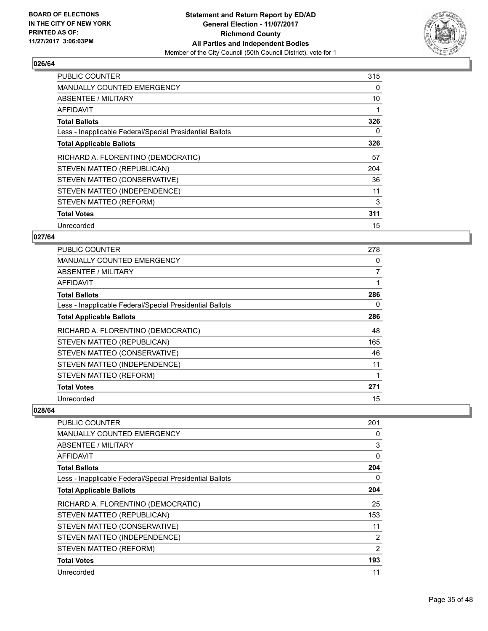

| <b>PUBLIC COUNTER</b>                                    | 315 |
|----------------------------------------------------------|-----|
| <b>MANUALLY COUNTED EMERGENCY</b>                        | 0   |
| <b>ABSENTEE / MILITARY</b>                               | 10  |
| AFFIDAVIT                                                |     |
| <b>Total Ballots</b>                                     | 326 |
| Less - Inapplicable Federal/Special Presidential Ballots | 0   |
| <b>Total Applicable Ballots</b>                          | 326 |
| RICHARD A. FLORENTINO (DEMOCRATIC)                       | 57  |
| STEVEN MATTEO (REPUBLICAN)                               | 204 |
| STEVEN MATTEO (CONSERVATIVE)                             | 36  |
| STEVEN MATTEO (INDEPENDENCE)                             | 11  |
| STEVEN MATTEO (REFORM)                                   | 3   |
| <b>Total Votes</b>                                       | 311 |
| Unrecorded                                               | 15  |

#### **027/64**

| <b>PUBLIC COUNTER</b>                                    | 278 |
|----------------------------------------------------------|-----|
| MANUALLY COUNTED EMERGENCY                               | 0   |
| ABSENTEE / MILITARY                                      | 7   |
| AFFIDAVIT                                                |     |
| <b>Total Ballots</b>                                     | 286 |
| Less - Inapplicable Federal/Special Presidential Ballots | 0   |
| <b>Total Applicable Ballots</b>                          | 286 |
| RICHARD A. FLORENTINO (DEMOCRATIC)                       | 48  |
| STEVEN MATTEO (REPUBLICAN)                               | 165 |
| STEVEN MATTEO (CONSERVATIVE)                             | 46  |
| STEVEN MATTEO (INDEPENDENCE)                             | 11  |
| STEVEN MATTEO (REFORM)                                   |     |
| <b>Total Votes</b>                                       | 271 |
| Unrecorded                                               | 15  |

| <b>PUBLIC COUNTER</b>                                    | 201 |
|----------------------------------------------------------|-----|
| MANUALLY COUNTED EMERGENCY                               | 0   |
| ABSENTEE / MILITARY                                      | 3   |
| AFFIDAVIT                                                | 0   |
| <b>Total Ballots</b>                                     | 204 |
| Less - Inapplicable Federal/Special Presidential Ballots | 0   |
| <b>Total Applicable Ballots</b>                          | 204 |
| RICHARD A. FLORENTINO (DEMOCRATIC)                       | 25  |
| STEVEN MATTEO (REPUBLICAN)                               | 153 |
| STEVEN MATTEO (CONSERVATIVE)                             | 11  |
| STEVEN MATTEO (INDEPENDENCE)                             | 2   |
| STEVEN MATTEO (REFORM)                                   | 2   |
| <b>Total Votes</b>                                       | 193 |
| Unrecorded                                               | 11  |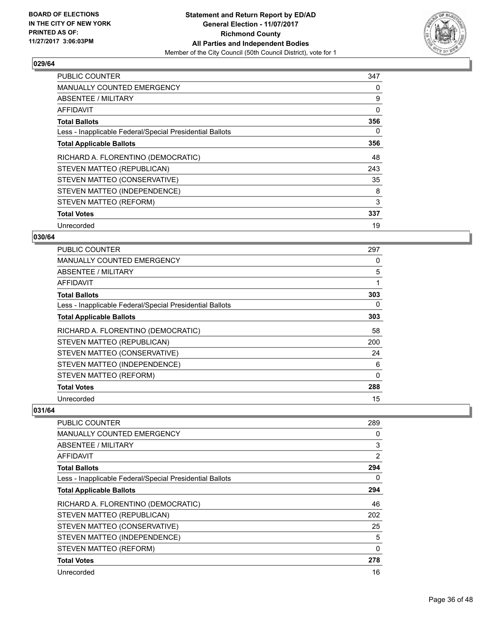

| <b>PUBLIC COUNTER</b>                                    | 347 |
|----------------------------------------------------------|-----|
| <b>MANUALLY COUNTED EMERGENCY</b>                        | 0   |
| ABSENTEE / MILITARY                                      | 9   |
| AFFIDAVIT                                                | 0   |
| <b>Total Ballots</b>                                     | 356 |
| Less - Inapplicable Federal/Special Presidential Ballots | 0   |
| <b>Total Applicable Ballots</b>                          | 356 |
| RICHARD A. FLORENTINO (DEMOCRATIC)                       | 48  |
| STEVEN MATTEO (REPUBLICAN)                               | 243 |
| STEVEN MATTEO (CONSERVATIVE)                             | 35  |
| STEVEN MATTEO (INDEPENDENCE)                             | 8   |
| STEVEN MATTEO (REFORM)                                   | 3   |
| <b>Total Votes</b>                                       | 337 |
| Unrecorded                                               | 19  |

#### **030/64**

| <b>PUBLIC COUNTER</b>                                    | 297 |
|----------------------------------------------------------|-----|
| MANUALLY COUNTED EMERGENCY                               | 0   |
| ABSENTEE / MILITARY                                      | 5   |
| AFFIDAVIT                                                | 1   |
| <b>Total Ballots</b>                                     | 303 |
| Less - Inapplicable Federal/Special Presidential Ballots | 0   |
| <b>Total Applicable Ballots</b>                          | 303 |
| RICHARD A. FLORENTINO (DEMOCRATIC)                       | 58  |
| STEVEN MATTEO (REPUBLICAN)                               | 200 |
| STEVEN MATTEO (CONSERVATIVE)                             | 24  |
| STEVEN MATTEO (INDEPENDENCE)                             | 6   |
| STEVEN MATTEO (REFORM)                                   | 0   |
| <b>Total Votes</b>                                       | 288 |
| Unrecorded                                               | 15  |

| PUBLIC COUNTER                                           | 289      |
|----------------------------------------------------------|----------|
| <b>MANUALLY COUNTED EMERGENCY</b>                        | 0        |
| <b>ABSENTEE / MILITARY</b>                               | 3        |
| AFFIDAVIT                                                | 2        |
| <b>Total Ballots</b>                                     | 294      |
| Less - Inapplicable Federal/Special Presidential Ballots | 0        |
| <b>Total Applicable Ballots</b>                          | 294      |
| RICHARD A. FLORENTINO (DEMOCRATIC)                       | 46       |
| STEVEN MATTEO (REPUBLICAN)                               | 202      |
| STEVEN MATTEO (CONSERVATIVE)                             | 25       |
| STEVEN MATTEO (INDEPENDENCE)                             | 5        |
| STEVEN MATTEO (REFORM)                                   | $\Omega$ |
| <b>Total Votes</b>                                       | 278      |
| Unrecorded                                               | 16       |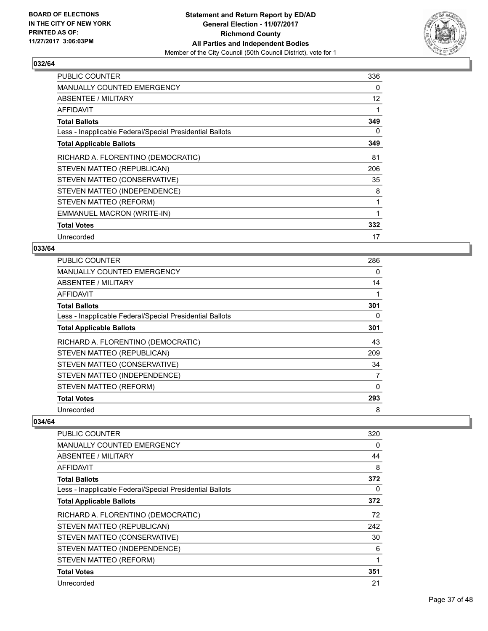

| PUBLIC COUNTER                                           | 336 |
|----------------------------------------------------------|-----|
| MANUALLY COUNTED EMERGENCY                               | 0   |
| ABSENTEE / MILITARY                                      | 12  |
| AFFIDAVIT                                                | 1   |
| <b>Total Ballots</b>                                     | 349 |
| Less - Inapplicable Federal/Special Presidential Ballots | 0   |
| <b>Total Applicable Ballots</b>                          | 349 |
| RICHARD A. FLORENTINO (DEMOCRATIC)                       | 81  |
| STEVEN MATTEO (REPUBLICAN)                               | 206 |
| STEVEN MATTEO (CONSERVATIVE)                             | 35  |
| STEVEN MATTEO (INDEPENDENCE)                             | 8   |
| STEVEN MATTEO (REFORM)                                   | 1   |
| EMMANUEL MACRON (WRITE-IN)                               | 1   |
| <b>Total Votes</b>                                       | 332 |
| Unrecorded                                               | 17  |

#### **033/64**

| <b>PUBLIC COUNTER</b>                                    | 286 |
|----------------------------------------------------------|-----|
| <b>MANUALLY COUNTED EMERGENCY</b>                        | 0   |
| ABSENTEE / MILITARY                                      | 14  |
| AFFIDAVIT                                                | 1   |
| <b>Total Ballots</b>                                     | 301 |
| Less - Inapplicable Federal/Special Presidential Ballots | 0   |
| <b>Total Applicable Ballots</b>                          | 301 |
| RICHARD A. FLORENTINO (DEMOCRATIC)                       | 43  |
| STEVEN MATTEO (REPUBLICAN)                               | 209 |
| STEVEN MATTEO (CONSERVATIVE)                             | 34  |
| STEVEN MATTEO (INDEPENDENCE)                             | 7   |
| STEVEN MATTEO (REFORM)                                   | 0   |
| <b>Total Votes</b>                                       | 293 |
| Unrecorded                                               | 8   |

| <b>PUBLIC COUNTER</b>                                    | 320 |
|----------------------------------------------------------|-----|
| <b>MANUALLY COUNTED EMERGENCY</b>                        | 0   |
| ABSENTEE / MILITARY                                      | 44  |
| AFFIDAVIT                                                | 8   |
| <b>Total Ballots</b>                                     | 372 |
| Less - Inapplicable Federal/Special Presidential Ballots | 0   |
| <b>Total Applicable Ballots</b>                          | 372 |
| RICHARD A. FLORENTINO (DEMOCRATIC)                       | 72  |
| STEVEN MATTEO (REPUBLICAN)                               | 242 |
| STEVEN MATTEO (CONSERVATIVE)                             | 30  |
| STEVEN MATTEO (INDEPENDENCE)                             | 6   |
| STEVEN MATTEO (REFORM)                                   | 1   |
| <b>Total Votes</b>                                       | 351 |
| Unrecorded                                               | 21  |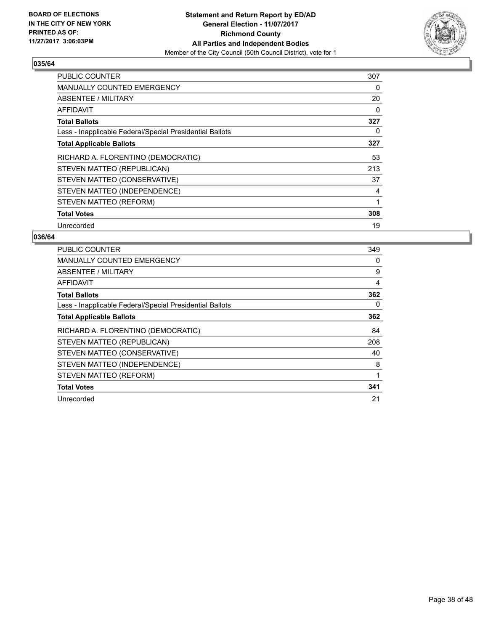

| <b>PUBLIC COUNTER</b>                                    | 307 |
|----------------------------------------------------------|-----|
| <b>MANUALLY COUNTED EMERGENCY</b>                        | 0   |
| ABSENTEE / MILITARY                                      | 20  |
| AFFIDAVIT                                                | 0   |
| <b>Total Ballots</b>                                     | 327 |
| Less - Inapplicable Federal/Special Presidential Ballots | 0   |
| <b>Total Applicable Ballots</b>                          | 327 |
| RICHARD A. FLORENTINO (DEMOCRATIC)                       | 53  |
| STEVEN MATTEO (REPUBLICAN)                               | 213 |
| STEVEN MATTEO (CONSERVATIVE)                             | 37  |
| STEVEN MATTEO (INDEPENDENCE)                             | 4   |
| STEVEN MATTEO (REFORM)                                   | 1   |
| <b>Total Votes</b>                                       | 308 |
| Unrecorded                                               | 19  |

| PUBLIC COUNTER                                           | 349 |
|----------------------------------------------------------|-----|
| <b>MANUALLY COUNTED EMERGENCY</b>                        | 0   |
| ABSENTEE / MILITARY                                      | 9   |
| AFFIDAVIT                                                | 4   |
| <b>Total Ballots</b>                                     | 362 |
| Less - Inapplicable Federal/Special Presidential Ballots | 0   |
| <b>Total Applicable Ballots</b>                          | 362 |
| RICHARD A. FLORENTINO (DEMOCRATIC)                       | 84  |
| STEVEN MATTEO (REPUBLICAN)                               | 208 |
| STEVEN MATTEO (CONSERVATIVE)                             | 40  |
| STEVEN MATTEO (INDEPENDENCE)                             | 8   |
| STEVEN MATTEO (REFORM)                                   |     |
| <b>Total Votes</b>                                       | 341 |
| Unrecorded                                               | 21  |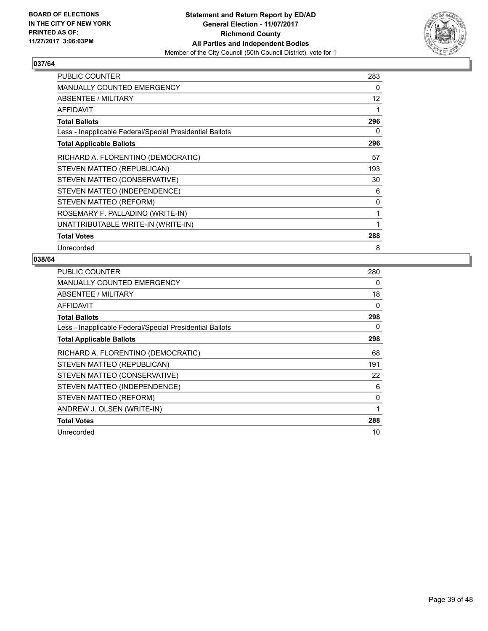

| <b>PUBLIC COUNTER</b>                                    | 283 |
|----------------------------------------------------------|-----|
| <b>MANUALLY COUNTED EMERGENCY</b>                        | 0   |
| ABSENTEE / MILITARY                                      | 12  |
| <b>AFFIDAVIT</b>                                         | 1   |
| <b>Total Ballots</b>                                     | 296 |
| Less - Inapplicable Federal/Special Presidential Ballots | 0   |
| <b>Total Applicable Ballots</b>                          | 296 |
| RICHARD A. FLORENTINO (DEMOCRATIC)                       | 57  |
| STEVEN MATTEO (REPUBLICAN)                               | 193 |
| STEVEN MATTEO (CONSERVATIVE)                             | 30  |
| STEVEN MATTEO (INDEPENDENCE)                             | 6   |
| STEVEN MATTEO (REFORM)                                   | 0   |
| ROSEMARY F. PALLADINO (WRITE-IN)                         | 1   |
| UNATTRIBUTABLE WRITE-IN (WRITE-IN)                       |     |
| <b>Total Votes</b>                                       | 288 |
| Unrecorded                                               | 8   |

| <b>PUBLIC COUNTER</b>                                    | 280 |
|----------------------------------------------------------|-----|
| MANUALLY COUNTED EMERGENCY                               | 0   |
| ABSENTEE / MILITARY                                      | 18  |
| AFFIDAVIT                                                | 0   |
| <b>Total Ballots</b>                                     | 298 |
| Less - Inapplicable Federal/Special Presidential Ballots | 0   |
| <b>Total Applicable Ballots</b>                          | 298 |
| RICHARD A. FLORENTINO (DEMOCRATIC)                       | 68  |
| STEVEN MATTEO (REPUBLICAN)                               | 191 |
| STEVEN MATTEO (CONSERVATIVE)                             | 22  |
| STEVEN MATTEO (INDEPENDENCE)                             | 6   |
| STEVEN MATTEO (REFORM)                                   | 0   |
| ANDREW J. OLSEN (WRITE-IN)                               | 1   |
| <b>Total Votes</b>                                       | 288 |
| Unrecorded                                               | 10  |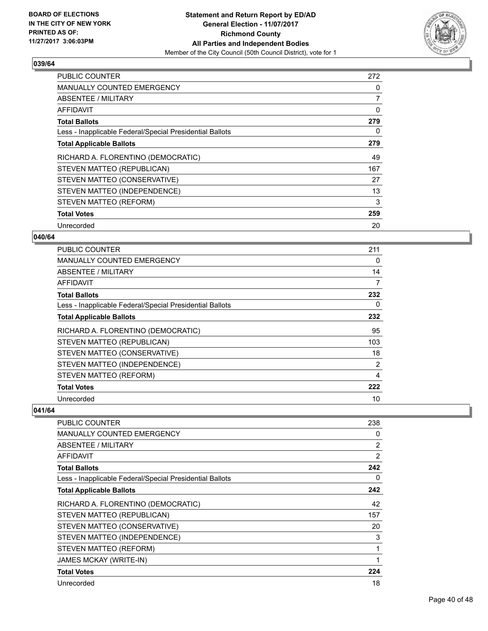

| <b>PUBLIC COUNTER</b>                                    | 272 |
|----------------------------------------------------------|-----|
| <b>MANUALLY COUNTED EMERGENCY</b>                        | 0   |
| <b>ABSENTEE / MILITARY</b>                               | 7   |
| AFFIDAVIT                                                | 0   |
| <b>Total Ballots</b>                                     | 279 |
| Less - Inapplicable Federal/Special Presidential Ballots | 0   |
| <b>Total Applicable Ballots</b>                          | 279 |
| RICHARD A. FLORENTINO (DEMOCRATIC)                       | 49  |
| STEVEN MATTEO (REPUBLICAN)                               | 167 |
| STEVEN MATTEO (CONSERVATIVE)                             | 27  |
| STEVEN MATTEO (INDEPENDENCE)                             | 13  |
| STEVEN MATTEO (REFORM)                                   | 3   |
| <b>Total Votes</b>                                       | 259 |
| Unrecorded                                               | 20  |

#### **040/64**

| <b>PUBLIC COUNTER</b>                                    | 211 |
|----------------------------------------------------------|-----|
| MANUALLY COUNTED EMERGENCY                               | 0   |
| ABSENTEE / MILITARY                                      | 14  |
| AFFIDAVIT                                                | 7   |
| <b>Total Ballots</b>                                     | 232 |
| Less - Inapplicable Federal/Special Presidential Ballots | 0   |
| <b>Total Applicable Ballots</b>                          | 232 |
| RICHARD A. FLORENTINO (DEMOCRATIC)                       | 95  |
| STEVEN MATTEO (REPUBLICAN)                               | 103 |
| STEVEN MATTEO (CONSERVATIVE)                             | 18  |
| STEVEN MATTEO (INDEPENDENCE)                             | 2   |
| STEVEN MATTEO (REFORM)                                   | 4   |
| <b>Total Votes</b>                                       | 222 |
| Unrecorded                                               | 10  |

| PUBLIC COUNTER                                           | 238            |
|----------------------------------------------------------|----------------|
| <b>MANUALLY COUNTED EMERGENCY</b>                        | 0              |
| <b>ABSENTEE / MILITARY</b>                               | 2              |
| <b>AFFIDAVIT</b>                                         | $\overline{2}$ |
| <b>Total Ballots</b>                                     | 242            |
| Less - Inapplicable Federal/Special Presidential Ballots | 0              |
| <b>Total Applicable Ballots</b>                          | 242            |
| RICHARD A. FLORENTINO (DEMOCRATIC)                       | 42             |
| STEVEN MATTEO (REPUBLICAN)                               | 157            |
| STEVEN MATTEO (CONSERVATIVE)                             | 20             |
| STEVEN MATTEO (INDEPENDENCE)                             | 3              |
| STEVEN MATTEO (REFORM)                                   | $\mathbf{1}$   |
| <b>JAMES MCKAY (WRITE-IN)</b>                            | 1              |
| <b>Total Votes</b>                                       | 224            |
| Unrecorded                                               | 18             |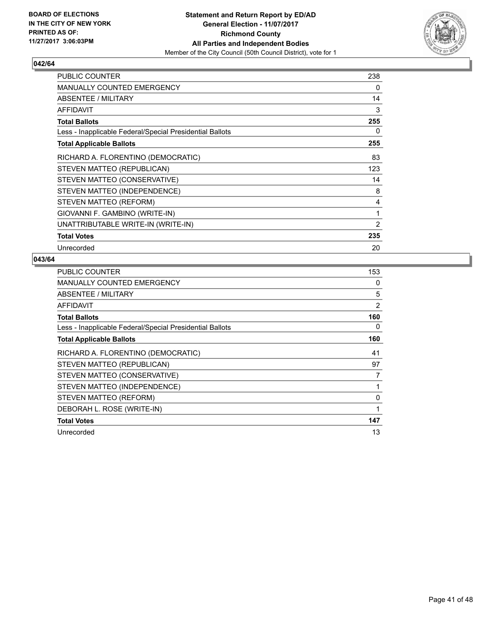

| <b>PUBLIC COUNTER</b>                                    | 238 |
|----------------------------------------------------------|-----|
| <b>MANUALLY COUNTED EMERGENCY</b>                        | 0   |
| ABSENTEE / MILITARY                                      | 14  |
| AFFIDAVIT                                                | 3   |
| <b>Total Ballots</b>                                     | 255 |
| Less - Inapplicable Federal/Special Presidential Ballots | 0   |
| <b>Total Applicable Ballots</b>                          | 255 |
| RICHARD A. FLORENTINO (DEMOCRATIC)                       | 83  |
| STEVEN MATTEO (REPUBLICAN)                               | 123 |
| STEVEN MATTEO (CONSERVATIVE)                             | 14  |
| STEVEN MATTEO (INDEPENDENCE)                             | 8   |
| STEVEN MATTEO (REFORM)                                   | 4   |
| GIOVANNI F. GAMBINO (WRITE-IN)                           | 1   |
| UNATTRIBUTABLE WRITE-IN (WRITE-IN)                       | 2   |
| <b>Total Votes</b>                                       | 235 |
| Unrecorded                                               | 20  |

| <b>PUBLIC COUNTER</b>                                    | 153 |
|----------------------------------------------------------|-----|
| MANUALLY COUNTED EMERGENCY                               | 0   |
| ABSENTEE / MILITARY                                      | 5   |
| AFFIDAVIT                                                | 2   |
| <b>Total Ballots</b>                                     | 160 |
| Less - Inapplicable Federal/Special Presidential Ballots | 0   |
| <b>Total Applicable Ballots</b>                          | 160 |
| RICHARD A. FLORENTINO (DEMOCRATIC)                       | 41  |
| STEVEN MATTEO (REPUBLICAN)                               | 97  |
| STEVEN MATTEO (CONSERVATIVE)                             | 7   |
| STEVEN MATTEO (INDEPENDENCE)                             | 1   |
| STEVEN MATTEO (REFORM)                                   | 0   |
| DEBORAH L. ROSE (WRITE-IN)                               | 1   |
| <b>Total Votes</b>                                       | 147 |
| Unrecorded                                               | 13  |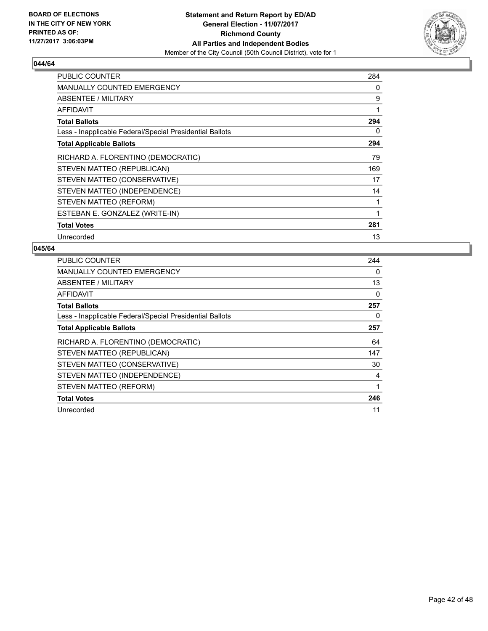

| <b>PUBLIC COUNTER</b>                                    | 284 |
|----------------------------------------------------------|-----|
| MANUALLY COUNTED EMERGENCY                               | 0   |
| ABSENTEE / MILITARY                                      | 9   |
| AFFIDAVIT                                                | 1   |
| <b>Total Ballots</b>                                     | 294 |
| Less - Inapplicable Federal/Special Presidential Ballots | 0   |
| <b>Total Applicable Ballots</b>                          | 294 |
| RICHARD A. FLORENTINO (DEMOCRATIC)                       | 79  |
| STEVEN MATTEO (REPUBLICAN)                               | 169 |
| STEVEN MATTEO (CONSERVATIVE)                             | 17  |
| STEVEN MATTEO (INDEPENDENCE)                             | 14  |
| STEVEN MATTEO (REFORM)                                   |     |
| ESTEBAN E. GONZALEZ (WRITE-IN)                           | 1   |
| <b>Total Votes</b>                                       | 281 |
| Unrecorded                                               | 13  |

| <b>PUBLIC COUNTER</b>                                    | 244 |
|----------------------------------------------------------|-----|
| <b>MANUALLY COUNTED EMERGENCY</b>                        | 0   |
| ABSENTEE / MILITARY                                      | 13  |
| AFFIDAVIT                                                | 0   |
| <b>Total Ballots</b>                                     | 257 |
| Less - Inapplicable Federal/Special Presidential Ballots | 0   |
| <b>Total Applicable Ballots</b>                          | 257 |
|                                                          |     |
| RICHARD A. FLORENTINO (DEMOCRATIC)                       | 64  |
| STEVEN MATTEO (REPUBLICAN)                               | 147 |
| STEVEN MATTEO (CONSERVATIVE)                             | 30  |
| STEVEN MATTEO (INDEPENDENCE)                             | 4   |
| STEVEN MATTEO (REFORM)                                   |     |
| <b>Total Votes</b>                                       | 246 |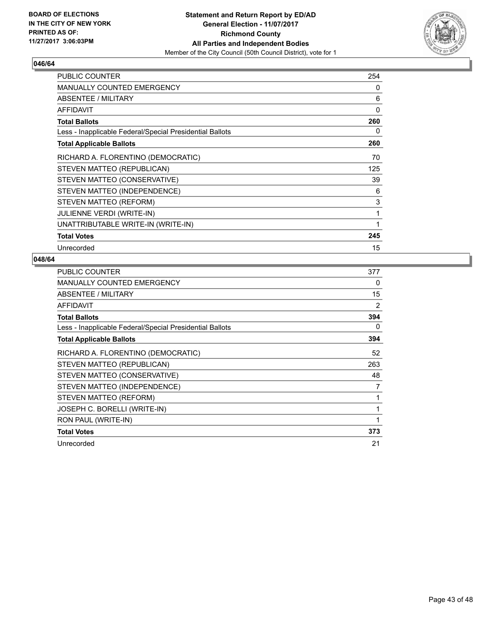

| <b>PUBLIC COUNTER</b>                                    | 254      |
|----------------------------------------------------------|----------|
| <b>MANUALLY COUNTED EMERGENCY</b>                        | 0        |
| ABSENTEE / MILITARY                                      | 6        |
| AFFIDAVIT                                                | $\Omega$ |
| <b>Total Ballots</b>                                     | 260      |
| Less - Inapplicable Federal/Special Presidential Ballots | 0        |
| <b>Total Applicable Ballots</b>                          | 260      |
| RICHARD A. FLORENTINO (DEMOCRATIC)                       | 70       |
| STEVEN MATTEO (REPUBLICAN)                               | 125      |
| STEVEN MATTEO (CONSERVATIVE)                             | 39       |
| STEVEN MATTEO (INDEPENDENCE)                             | 6        |
| STEVEN MATTEO (REFORM)                                   | 3        |
| <b>JULIENNE VERDI (WRITE-IN)</b>                         | 1        |
| UNATTRIBUTABLE WRITE-IN (WRITE-IN)                       | 1        |
| <b>Total Votes</b>                                       | 245      |
| Unrecorded                                               | 15       |

| <b>PUBLIC COUNTER</b>                                    | 377            |
|----------------------------------------------------------|----------------|
| MANUALLY COUNTED EMERGENCY                               | 0              |
| ABSENTEE / MILITARY                                      | 15             |
| AFFIDAVIT                                                | $\overline{2}$ |
| <b>Total Ballots</b>                                     | 394            |
| Less - Inapplicable Federal/Special Presidential Ballots | 0              |
| <b>Total Applicable Ballots</b>                          | 394            |
| RICHARD A. FLORENTINO (DEMOCRATIC)                       | 52             |
| STEVEN MATTEO (REPUBLICAN)                               | 263            |
| STEVEN MATTEO (CONSERVATIVE)                             | 48             |
| STEVEN MATTEO (INDEPENDENCE)                             | 7              |
| STEVEN MATTEO (REFORM)                                   |                |
| JOSEPH C. BORELLI (WRITE-IN)                             | 1              |
| RON PAUL (WRITE-IN)                                      | 1              |
| <b>Total Votes</b>                                       | 373            |
| Unrecorded                                               | 21             |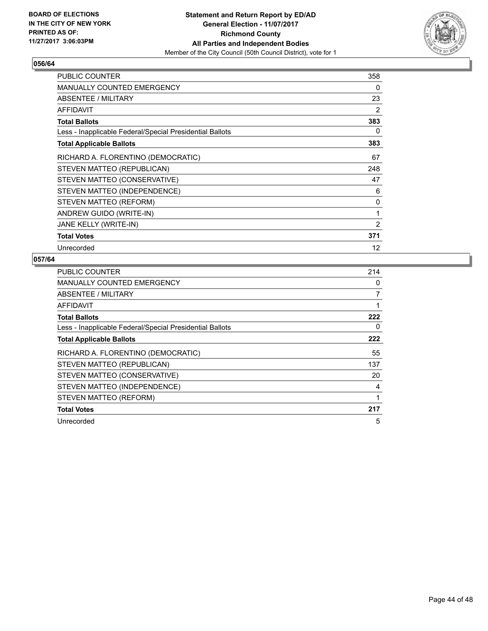

| <b>PUBLIC COUNTER</b>                                    | 358 |
|----------------------------------------------------------|-----|
| <b>MANUALLY COUNTED EMERGENCY</b>                        | 0   |
| ABSENTEE / MILITARY                                      | 23  |
| <b>AFFIDAVIT</b>                                         | 2   |
| <b>Total Ballots</b>                                     | 383 |
| Less - Inapplicable Federal/Special Presidential Ballots | 0   |
| <b>Total Applicable Ballots</b>                          | 383 |
| RICHARD A. FLORENTINO (DEMOCRATIC)                       | 67  |
| STEVEN MATTEO (REPUBLICAN)                               | 248 |
| STEVEN MATTEO (CONSERVATIVE)                             | 47  |
| STEVEN MATTEO (INDEPENDENCE)                             | 6   |
| STEVEN MATTEO (REFORM)                                   | 0   |
| ANDREW GUIDO (WRITE-IN)                                  | 1   |
| JANE KELLY (WRITE-IN)                                    | 2   |
| <b>Total Votes</b>                                       | 371 |
| Unrecorded                                               | 12  |

| <b>PUBLIC COUNTER</b>                                    | 214 |
|----------------------------------------------------------|-----|
| MANUALLY COUNTED EMERGENCY                               | 0   |
| ABSENTEE / MILITARY                                      | 7   |
| AFFIDAVIT                                                |     |
| <b>Total Ballots</b>                                     | 222 |
| Less - Inapplicable Federal/Special Presidential Ballots | 0   |
| <b>Total Applicable Ballots</b>                          | 222 |
| RICHARD A. FLORENTINO (DEMOCRATIC)                       | 55  |
|                                                          |     |
| STEVEN MATTEO (REPUBLICAN)                               | 137 |
| STEVEN MATTEO (CONSERVATIVE)                             | 20  |
| STEVEN MATTEO (INDEPENDENCE)                             | 4   |
| STEVEN MATTEO (REFORM)                                   |     |
| <b>Total Votes</b>                                       | 217 |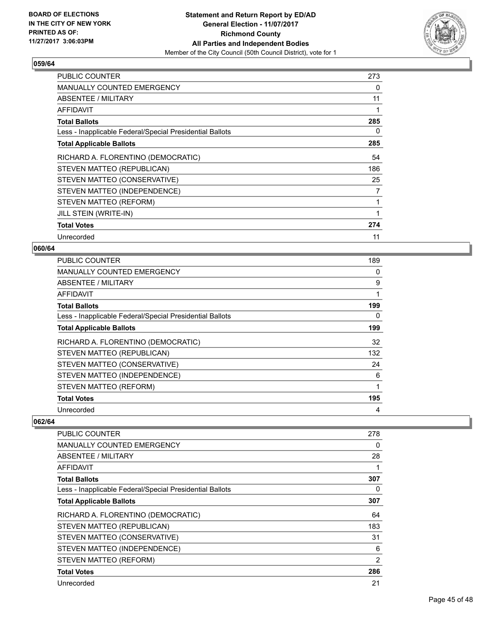

| <b>PUBLIC COUNTER</b>                                    | 273 |
|----------------------------------------------------------|-----|
| <b>MANUALLY COUNTED EMERGENCY</b>                        | 0   |
| ABSENTEE / MILITARY                                      | 11  |
| AFFIDAVIT                                                | 1   |
| <b>Total Ballots</b>                                     | 285 |
| Less - Inapplicable Federal/Special Presidential Ballots | 0   |
| <b>Total Applicable Ballots</b>                          | 285 |
| RICHARD A. FLORENTINO (DEMOCRATIC)                       | 54  |
| STEVEN MATTEO (REPUBLICAN)                               | 186 |
| STEVEN MATTEO (CONSERVATIVE)                             | 25  |
| STEVEN MATTEO (INDEPENDENCE)                             | 7   |
| STEVEN MATTEO (REFORM)                                   | 1   |
| JILL STEIN (WRITE-IN)                                    | 1   |
| <b>Total Votes</b>                                       | 274 |
| Unrecorded                                               | 11  |

#### **060/64**

| <b>PUBLIC COUNTER</b>                                    | 189 |
|----------------------------------------------------------|-----|
| <b>MANUALLY COUNTED EMERGENCY</b>                        | 0   |
| ABSENTEE / MILITARY                                      | 9   |
| AFFIDAVIT                                                |     |
| <b>Total Ballots</b>                                     | 199 |
| Less - Inapplicable Federal/Special Presidential Ballots | 0   |
| <b>Total Applicable Ballots</b>                          | 199 |
| RICHARD A. FLORENTINO (DEMOCRATIC)                       | 32  |
| STEVEN MATTEO (REPUBLICAN)                               | 132 |
| STEVEN MATTEO (CONSERVATIVE)                             | 24  |
| STEVEN MATTEO (INDEPENDENCE)                             | 6   |
| STEVEN MATTEO (REFORM)                                   | 1   |
| <b>Total Votes</b>                                       | 195 |
| Unrecorded                                               | 4   |

| PUBLIC COUNTER                                           | 278            |
|----------------------------------------------------------|----------------|
| <b>MANUALLY COUNTED EMERGENCY</b>                        | 0              |
| ABSENTEE / MILITARY                                      | 28             |
| AFFIDAVIT                                                | 1              |
| <b>Total Ballots</b>                                     | 307            |
| Less - Inapplicable Federal/Special Presidential Ballots | 0              |
| <b>Total Applicable Ballots</b>                          | 307            |
| RICHARD A. FLORENTINO (DEMOCRATIC)                       | 64             |
| STEVEN MATTEO (REPUBLICAN)                               | 183            |
| STEVEN MATTEO (CONSERVATIVE)                             | 31             |
| STEVEN MATTEO (INDEPENDENCE)                             | 6              |
| STEVEN MATTEO (REFORM)                                   | $\overline{2}$ |
| <b>Total Votes</b>                                       | 286            |
| Unrecorded                                               | 21             |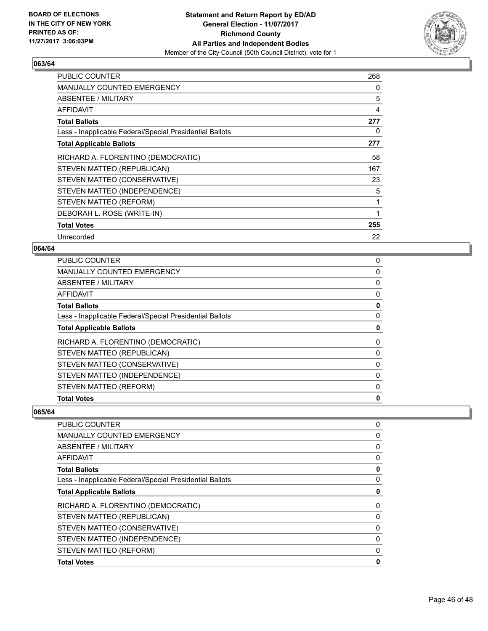

| <b>PUBLIC COUNTER</b>                                    | 268 |
|----------------------------------------------------------|-----|
| MANUALLY COUNTED EMERGENCY                               | 0   |
| ABSENTEE / MILITARY                                      | 5   |
| AFFIDAVIT                                                | 4   |
| <b>Total Ballots</b>                                     | 277 |
| Less - Inapplicable Federal/Special Presidential Ballots | 0   |
| <b>Total Applicable Ballots</b>                          | 277 |
| RICHARD A. FLORENTINO (DEMOCRATIC)                       | 58  |
| STEVEN MATTEO (REPUBLICAN)                               | 167 |
| STEVEN MATTEO (CONSERVATIVE)                             | 23  |
| STEVEN MATTEO (INDEPENDENCE)                             | 5   |
| STEVEN MATTEO (REFORM)                                   | 1   |
| DEBORAH L. ROSE (WRITE-IN)                               | 1   |
| <b>Total Votes</b>                                       | 255 |
| Unrecorded                                               | 22  |

#### **064/64**

| <b>Total Votes</b>                                       | 0 |
|----------------------------------------------------------|---|
| STEVEN MATTEO (REFORM)                                   | 0 |
| STEVEN MATTEO (INDEPENDENCE)                             | 0 |
| STEVEN MATTEO (CONSERVATIVE)                             | 0 |
| STEVEN MATTEO (REPUBLICAN)                               | 0 |
| RICHARD A. FLORENTINO (DEMOCRATIC)                       | 0 |
| <b>Total Applicable Ballots</b>                          | 0 |
| Less - Inapplicable Federal/Special Presidential Ballots | 0 |
| <b>Total Ballots</b>                                     | 0 |
| AFFIDAVIT                                                | 0 |
| ABSENTEE / MILITARY                                      | 0 |
| MANUALLY COUNTED EMERGENCY                               | 0 |
| <b>PUBLIC COUNTER</b>                                    | 0 |

| <b>PUBLIC COUNTER</b>                                    | 0 |
|----------------------------------------------------------|---|
| <b>MANUALLY COUNTED EMERGENCY</b>                        | 0 |
| ABSENTEE / MILITARY                                      | 0 |
| AFFIDAVIT                                                | 0 |
| <b>Total Ballots</b>                                     | 0 |
| Less - Inapplicable Federal/Special Presidential Ballots | 0 |
| <b>Total Applicable Ballots</b>                          | 0 |
| RICHARD A. FLORENTINO (DEMOCRATIC)                       | 0 |
| STEVEN MATTEO (REPUBLICAN)                               | 0 |
| STEVEN MATTEO (CONSERVATIVE)                             | 0 |
| STEVEN MATTEO (INDEPENDENCE)                             | 0 |
| STEVEN MATTEO (REFORM)                                   | 0 |
| <b>Total Votes</b>                                       | 0 |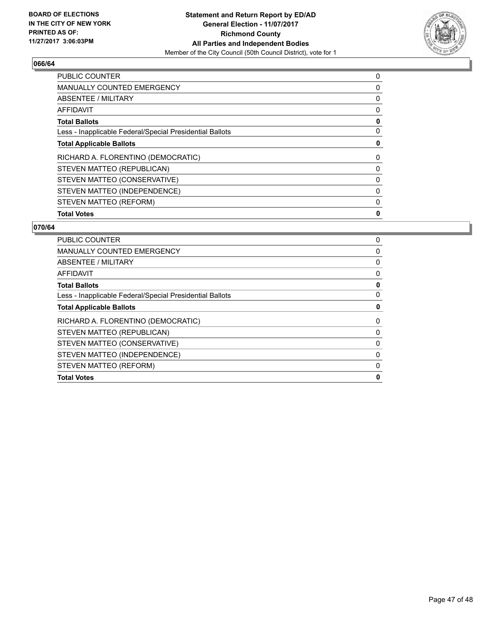

| <b>PUBLIC COUNTER</b>                                    | 0 |
|----------------------------------------------------------|---|
| <b>MANUALLY COUNTED EMERGENCY</b>                        | 0 |
| ABSENTEE / MILITARY                                      | 0 |
| <b>AFFIDAVIT</b>                                         | 0 |
| <b>Total Ballots</b>                                     | 0 |
| Less - Inapplicable Federal/Special Presidential Ballots | 0 |
| <b>Total Applicable Ballots</b>                          | 0 |
| RICHARD A. FLORENTINO (DEMOCRATIC)                       | 0 |
| STEVEN MATTEO (REPUBLICAN)                               | 0 |
| STEVEN MATTEO (CONSERVATIVE)                             | 0 |
| STEVEN MATTEO (INDEPENDENCE)                             | 0 |
| STEVEN MATTEO (REFORM)                                   | 0 |
| <b>Total Votes</b>                                       | 0 |

| <b>PUBLIC COUNTER</b>                                    | 0 |
|----------------------------------------------------------|---|
| <b>MANUALLY COUNTED EMERGENCY</b>                        | 0 |
| ABSENTEE / MILITARY                                      | 0 |
| AFFIDAVIT                                                | 0 |
| <b>Total Ballots</b>                                     | 0 |
| Less - Inapplicable Federal/Special Presidential Ballots | 0 |
| <b>Total Applicable Ballots</b>                          | 0 |
| RICHARD A. FLORENTINO (DEMOCRATIC)                       | 0 |
| STEVEN MATTEO (REPUBLICAN)                               | 0 |
| STEVEN MATTEO (CONSERVATIVE)                             | 0 |
| STEVEN MATTEO (INDEPENDENCE)                             | 0 |
| STEVEN MATTEO (REFORM)                                   | 0 |
| <b>Total Votes</b>                                       | 0 |